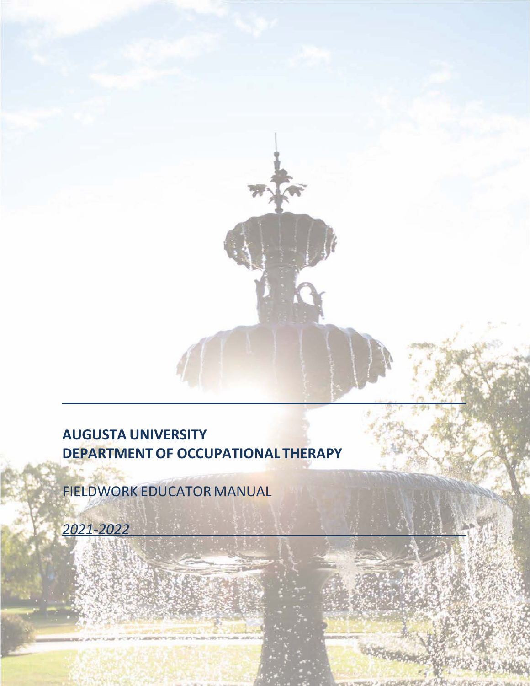# **AUGUSTA UNIVERSITY DEPARTMENTOF OCCUPATIONAL THERAPY**

FIELDWORK EDUCATOR MANUAL

*2021-2022*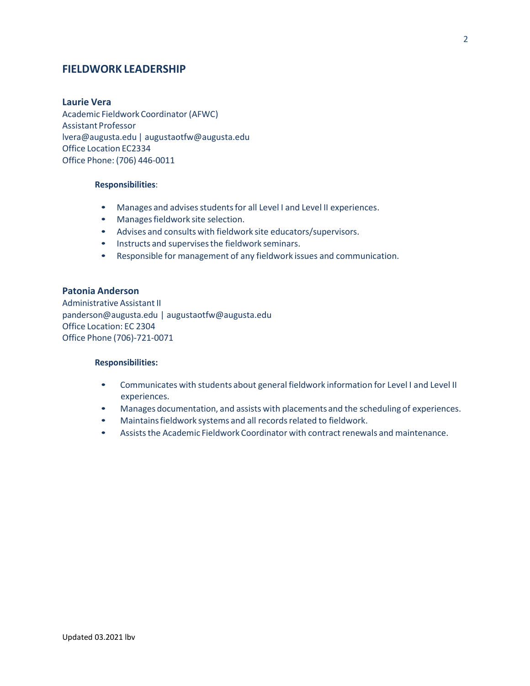# **FIELDWORK LEADERSHIP**

#### **Laurie Vera**

Academic Fieldwork Coordinator (AFWC) Assistant Professor [lvera@augusta.edu](mailto:lvera@augusta.edu) | [augustaotfw@augusta.edu](mailto:augustaotfw@augusta.edu) Office Location EC2334 Office Phone: (706) 446-0011

#### **Responsibilities**:

- Manages and advises students for all Level I and Level II experiences.
- Manages fieldwork site selection.
- Advises and consults with fieldwork site educators/supervisors.
- Instructs and supervisesthe fieldwork seminars.
- Responsible for management of any fieldwork issues and communication.

### **Patonia Anderson**

Administrative Assistant II [panderson@augusta.edu](mailto:panderson@augusta.edu) | [augustaotfw@augusta.edu](mailto:augustaotfw@augusta.edu) Office Location: EC 2304 Office Phone (706)-721-0071

#### **Responsibilities:**

- Communicates with students about general fieldwork information for Level I and Level II experiences.
- Manages documentation, and assists with placements and the scheduling of experiences.
- Maintains fieldwork systems and all records related to fieldwork.
- Assists the Academic Fieldwork Coordinator with contract renewals and maintenance.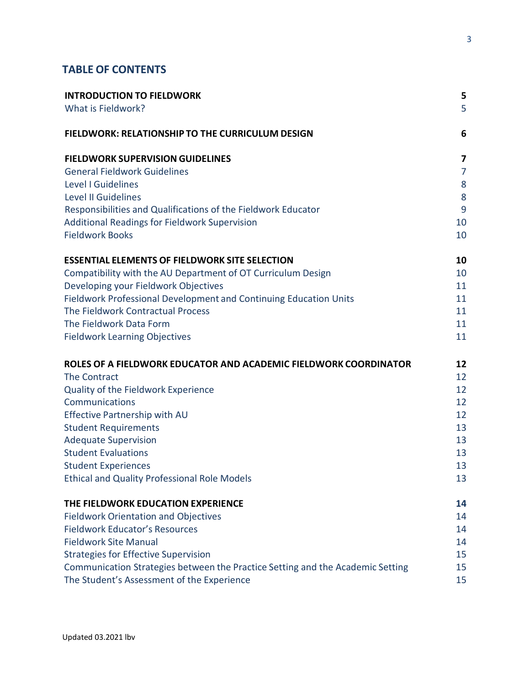# **TABLE OF CONTENTS**

| <b>INTRODUCTION TO FIELDWORK</b>                                               | 5              |
|--------------------------------------------------------------------------------|----------------|
| What is Fieldwork?                                                             | 5              |
| <b>FIELDWORK: RELATIONSHIP TO THE CURRICULUM DESIGN</b>                        | 6              |
| <b>FIELDWORK SUPERVISION GUIDELINES</b>                                        | 7              |
| <b>General Fieldwork Guidelines</b>                                            | $\overline{7}$ |
| Level I Guidelines                                                             | 8              |
| Level II Guidelines                                                            | 8              |
| Responsibilities and Qualifications of the Fieldwork Educator                  | 9              |
| <b>Additional Readings for Fieldwork Supervision</b>                           | 10             |
| <b>Fieldwork Books</b>                                                         | 10             |
| <b>ESSENTIAL ELEMENTS OF FIELDWORK SITE SELECTION</b>                          | 10             |
| Compatibility with the AU Department of OT Curriculum Design                   | 10             |
| Developing your Fieldwork Objectives                                           | 11             |
| Fieldwork Professional Development and Continuing Education Units              | 11             |
| The Fieldwork Contractual Process                                              | 11             |
| The Fieldwork Data Form                                                        | 11             |
| <b>Fieldwork Learning Objectives</b>                                           | 11             |
| ROLES OF A FIELDWORK EDUCATOR AND ACADEMIC FIELDWORK COORDINATOR               | 12             |
| <b>The Contract</b>                                                            | 12             |
| Quality of the Fieldwork Experience                                            | 12             |
| Communications                                                                 | 12             |
| <b>Effective Partnership with AU</b>                                           | 12             |
| <b>Student Requirements</b>                                                    | 13             |
| <b>Adequate Supervision</b>                                                    | 13             |
| <b>Student Evaluations</b>                                                     | 13             |
| <b>Student Experiences</b>                                                     | 13             |
| <b>Ethical and Quality Professional Role Models</b>                            | 13             |
| THE FIELDWORK EDUCATION EXPERIENCE                                             | 14             |
| <b>Fieldwork Orientation and Objectives</b>                                    | 14             |
| <b>Fieldwork Educator's Resources</b>                                          | 14             |
| <b>Fieldwork Site Manual</b>                                                   | 14             |
| <b>Strategies for Effective Supervision</b>                                    | 15             |
| Communication Strategies between the Practice Setting and the Academic Setting | 15             |
| The Student's Assessment of the Experience                                     | 15             |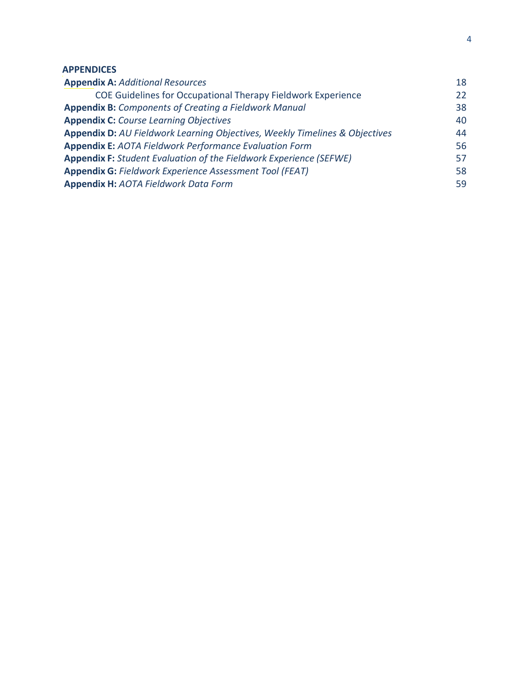# **APPENDICES**

| <b>Appendix A: Additional Resources</b>                                     | 18 |
|-----------------------------------------------------------------------------|----|
| COE Guidelines for Occupational Therapy Fieldwork Experience                | 22 |
| <b>Appendix B:</b> Components of Creating a Fieldwork Manual                | 38 |
| <b>Appendix C:</b> Course Learning Objectives                               | 40 |
| Appendix D: AU Fieldwork Learning Objectives, Weekly Timelines & Objectives | 44 |
| <b>Appendix E: AOTA Fieldwork Performance Evaluation Form</b>               | 56 |
| <b>Appendix F:</b> Student Evaluation of the Fieldwork Experience (SEFWE)   |    |
| <b>Appendix G: Fieldwork Experience Assessment Tool (FEAT)</b>              |    |
| <b>Appendix H: AOTA Fieldwork Data Form</b>                                 | 59 |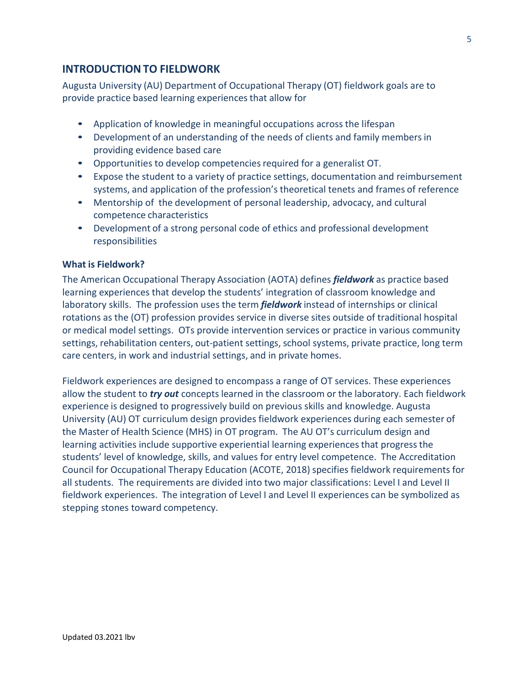# **INTRODUCTIONTO FIELDWORK**

Augusta University (AU) Department of Occupational Therapy (OT) fieldwork goals are to provide practice based learning experiencesthat allow for

- Application of knowledge in meaningful occupations across the lifespan
- Development of an understanding of the needs of clients and family members in providing evidence based care
- Opportunities to develop competencies required for a generalist OT.
- Expose the student to a variety of practice settings, documentation and reimbursement systems, and application of the profession's theoretical tenets and frames of reference
- Mentorship of the development of personal leadership, advocacy, and cultural competence characteristics
- Development of a strong personal code of ethics and professional development responsibilities

# **What is Fieldwork?**

The American Occupational Therapy Association (AOTA) defines *fieldwork* as practice based learning experiences that develop the students' integration of classroom knowledge and laboratory skills. The profession uses the term *fieldwork* instead of internships or clinical rotations as the (OT) profession provides service in diverse sites outside of traditional hospital or medical model settings. OTs provide intervention services or practice in various community settings, rehabilitation centers, out-patient settings, school systems, private practice, long term care centers, in work and industrial settings, and in private homes.

Fieldwork experiences are designed to encompass a range of OT services. These experiences allow the student to *try out* concepts learned in the classroom or the laboratory. Each fieldwork experience is designed to progressively build on previous skills and knowledge. Augusta University (AU) OT curriculum design provides fieldwork experiences during each semester of the Master of Health Science (MHS) in OT program. The AU OT's curriculum design and learning activities include supportive experiential learning experiences that progressthe students' level of knowledge, skills, and values for entry level competence. The Accreditation Council for Occupational Therapy Education (ACOTE, 2018) specifies fieldwork requirements for all students. The requirements are divided into two major classifications: Level I and Level II fieldwork experiences. The integration of Level I and Level II experiences can be symbolized as stepping stones toward competency.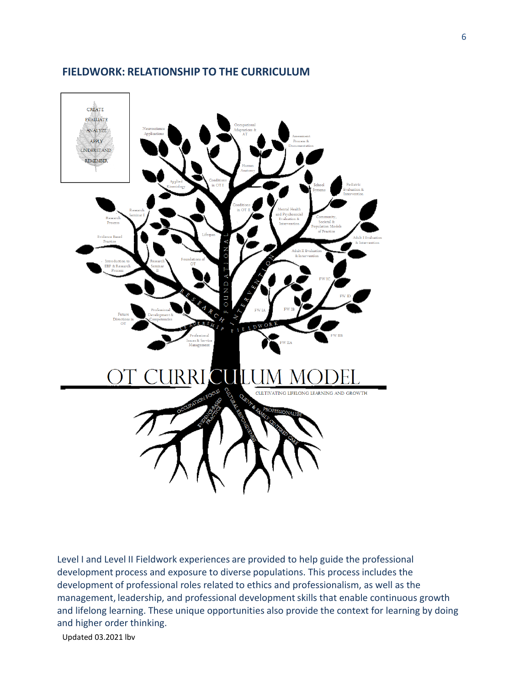

# **FIELDWORK: RELATIONSHIP TO THE CURRICULUM**

Level I and Level II Fieldwork experiences are provided to help guide the professional development process and exposure to diverse populations. This process includes the development of professional roles related to ethics and professionalism, as well as the management, leadership, and professional development skills that enable continuous growth and lifelong learning. These unique opportunities also provide the context for learning by doing and higher order thinking.

Updated 03.2021 lbv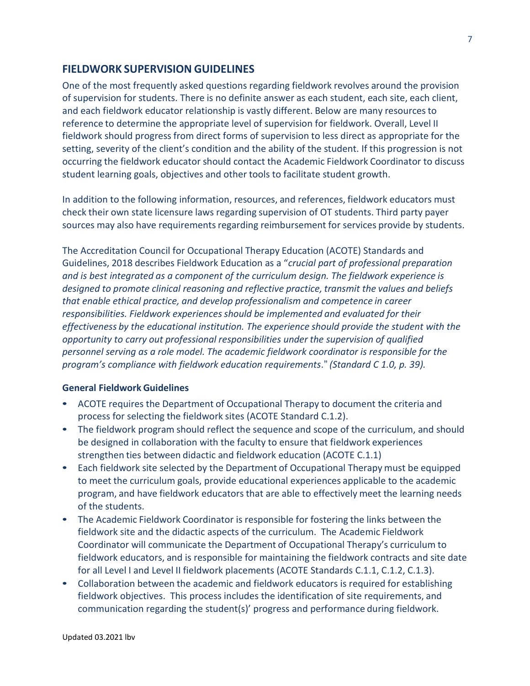# **FIELDWORK SUPERVISION GUIDELINES**

One of the most frequently asked questions regarding fieldwork revolves around the provision of supervision for students. There is no definite answer as each student, each site, each client, and each fieldwork educator relationship is vastly different. Below are many resourcesto reference to determine the appropriate level of supervision for fieldwork. Overall, Level II fieldwork should progress from direct forms of supervision to less direct as appropriate for the setting, severity of the client's condition and the ability of the student. If this progression is not occurring the fieldwork educator should contact the Academic Fieldwork Coordinator to discuss student learning goals, objectives and other tools to facilitate student growth.

In addition to the following information, resources, and references, fieldwork educators must check their own state licensure laws regarding supervision of OT students. Third party payer sources may also have requirements regarding reimbursement for services provide by students.

The Accreditation Council for Occupational Therapy Education (ACOTE) Standards and Guidelines, 2018 describes Fieldwork Education as a "*crucial part of professional preparation and is best integrated as a component of the curriculum design. The fieldwork experience is designed to promote clinical reasoning and reflective practice, transmit the values and beliefs that enable ethical practice, and develop professionalism and competence in career responsibilities. Fieldwork experiencesshould be implemented and evaluated for their effectiveness by the educational institution. The experience should provide the student with the opportunity to carry out professional responsibilities under the supervision of qualified personnel serving as a role model. The academic fieldwork coordinator is responsible for the program's compliance with fieldwork education requirements*." *(Standard C 1.0, p. 39).*

### **General Fieldwork Guidelines**

- ACOTE requires the Department of Occupational Therapy to document the criteria and process for selecting the fieldwork sites (ACOTE Standard C.1.2).
- The fieldwork program should reflect the sequence and scope of the curriculum, and should be designed in collaboration with the faculty to ensure that fieldwork experiences strengthen ties between didactic and fieldwork education (ACOTE C.1.1)
- Each fieldwork site selected by the Department of Occupational Therapy must be equipped to meet the curriculum goals, provide educational experiences applicable to the academic program, and have fieldwork educators that are able to effectively meet the learning needs of the students.
- The Academic Fieldwork Coordinator is responsible for fostering the links between the fieldwork site and the didactic aspects of the curriculum. The Academic Fieldwork Coordinator will communicate the Department of Occupational Therapy's curriculum to fieldwork educators, and is responsible for maintaining the fieldwork contracts and site date for all Level I and Level II fieldwork placements (ACOTE Standards C.1.1, C.1.2, C.1.3).
- Collaboration between the academic and fieldwork educators is required for establishing fieldwork objectives. This process includes the identification of site requirements, and communication regarding the student(s)' progress and performance during fieldwork.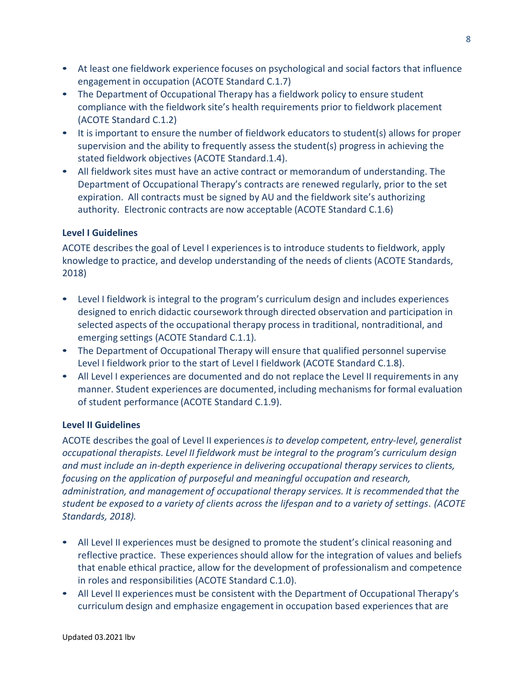- At least one fieldwork experience focuses on psychological and social factors that influence engagement in occupation (ACOTE Standard C.1.7)
- The Department of Occupational Therapy has a fieldwork policy to ensure student compliance with the fieldwork site's health requirements prior to fieldwork placement (ACOTE Standard C.1.2)
- It is important to ensure the number of fieldwork educators to student(s) allows for proper supervision and the ability to frequently assess the student(s) progressin achieving the stated fieldwork objectives (ACOTE Standard.1.4).
- All fieldwork sites must have an active contract or memorandum of understanding. The Department of Occupational Therapy's contracts are renewed regularly, prior to the set expiration. All contracts must be signed by AU and the fieldwork site's authorizing authority. Electronic contracts are now acceptable (ACOTE Standard C.1.6)

# **Level I Guidelines**

ACOTE describes the goal of Level I experiencesis to introduce students to fieldwork, apply knowledge to practice, and develop understanding of the needs of clients (ACOTE Standards, 2018)

- Level I fieldwork is integral to the program's curriculum design and includes experiences designed to enrich didactic coursework through directed observation and participation in selected aspects of the occupational therapy process in traditional, nontraditional, and emerging settings (ACOTE Standard C.1.1)*.*
- The Department of Occupational Therapy will ensure that qualified personnel supervise Level I fieldwork prior to the start of Level I fieldwork (ACOTE Standard C.1.8).
- All Level I experiences are documented and do not replace the Level II requirements in any manner. Student experiences are documented, including mechanisms for formal evaluation of student performance (ACOTE Standard C.1.9).

# **Level II Guidelines**

ACOTE describes the goal of Level II experiences*is to develop competent, entry-level, generalist occupational therapists. Level II fieldwork must be integral to the program's curriculum design and must include an in-depth experience in delivering occupational therapy services to clients, focusing on the application of purposeful and meaningful occupation and research, administration, and management of occupational therapy services. It is recommended that the student be exposed to a variety of clients across the lifespan and to a variety of settings*. *(ACOTE Standards, 2018).*

- All Level II experiences must be designed to promote the student's clinical reasoning and reflective practice. These experiences should allow for the integration of values and beliefs that enable ethical practice, allow for the development of professionalism and competence in roles and responsibilities (ACOTE Standard C.1.0).
- All Level II experiences must be consistent with the Department of Occupational Therapy's curriculum design and emphasize engagement in occupation based experiences that are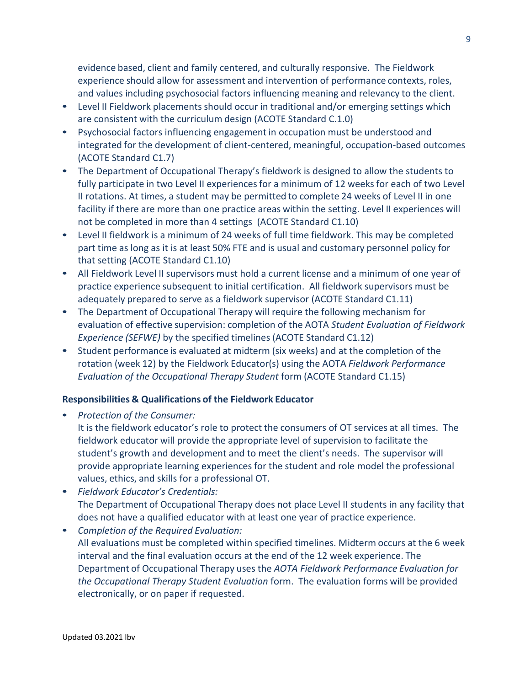evidence based, client and family centered, and culturally responsive. The Fieldwork experience should allow for assessment and intervention of performance contexts, roles, and values including psychosocial factors influencing meaning and relevancy to the client.

- Level II Fieldwork placements should occur in traditional and/or emerging settings which are consistent with the curriculum design (ACOTE Standard C.1.0)
- Psychosocial factors influencing engagement in occupation must be understood and integrated for the development of client-centered, meaningful, occupation-based outcomes (ACOTE Standard C1.7)
- The Department of Occupational Therapy's fieldwork is designed to allow the students to fully participate in two Level II experiences for a minimum of 12 weeks for each of two Level II rotations. At times, a student may be permitted to complete 24 weeks of Level II in one facility if there are more than one practice areas within the setting. Level II experiences will not be completed in more than 4 settings (ACOTE Standard C1.10)
- Level II fieldwork is a minimum of 24 weeks of full time fieldwork. This may be completed part time as long as it is at least 50% FTE and is usual and customary personnel policy for that setting (ACOTE Standard C1.10)
- All Fieldwork Level II supervisors must hold a current license and a minimum of one year of practice experience subsequent to initial certification. All fieldwork supervisors must be adequately prepared to serve as a fieldwork supervisor (ACOTE Standard C1.11)
- The Department of Occupational Therapy will require the following mechanism for evaluation of effective supervision: completion of the AOTA *Student Evaluation of Fieldwork Experience (SEFWE)* by the specified timelines (ACOTE Standard C1.12)
- Student performance is evaluated at midterm (six weeks) and at the completion of the rotation (week 12) by the Fieldwork Educator(s) using the AOTA *Fieldwork Performance Evaluation of the Occupational Therapy Student* form (ACOTE Standard C1.15)

# **Responsibilities & Qualifications of the Fieldwork Educator**

• *Protection of the Consumer:*

It is the fieldwork educator's role to protect the consumers of OT services at all times. The fieldwork educator will provide the appropriate level of supervision to facilitate the student's growth and development and to meet the client's needs. The supervisor will provide appropriate learning experiences for the student and role model the professional values, ethics, and skills for a professional OT.

- *Fieldwork Educator's Credentials:* The Department of Occupational Therapy does not place Level II students in any facility that does not have a qualified educator with at least one year of practice experience.
- *Completion of the Required Evaluation:* All evaluations must be completed within specified timelines. Midterm occurs at the 6 week interval and the final evaluation occurs at the end of the 12 week experience. The Department of Occupational Therapy uses the *AOTA Fieldwork Performance Evaluation for the Occupational Therapy Student Evaluation* form. The evaluation forms will be provided electronically, or on paper if requested.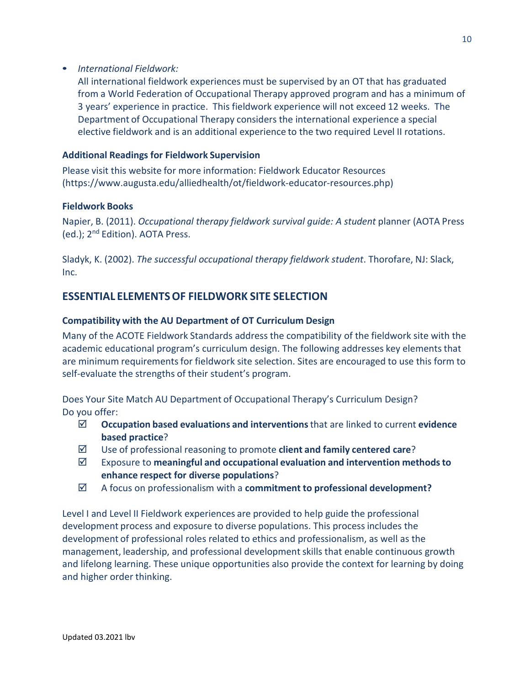• *International Fieldwork:*

All international fieldwork experiences must be supervised by an OT that has graduated from a World Federation of Occupational Therapy approved program and has a minimum of 3 years' experience in practice. This fieldwork experience will not exceed 12 weeks. The Department of Occupational Therapy considers the international experience a special elective fieldwork and is an additional experience to the two required Level II rotations.

# **Additional Readings for Fieldwork Supervision**

Please visit this website for more information: Fieldwork Educator Resources [\(https://www.augusta.edu/alliedhealth/ot/fieldwork-educator-resources.php\)](http://www.augusta.edu/alliedhealth/ot/fieldwork-educator-resources.php))

# **Fieldwork Books**

Napier, B. (2011). *Occupational therapy fieldwork survival guide: A student* planner (AOTA Press (ed.); 2nd Edition). AOTA Press.

Sladyk, K. (2002). *The successful occupational therapy fieldwork student*. Thorofare, NJ: Slack, Inc.

# **ESSENTIAL ELEMENTSOF FIELDWORK SITE SELECTION**

# **Compatibility with the AU Department of OT Curriculum Design**

Many of the ACOTE Fieldwork Standards address the compatibility of the fieldwork site with the academic educational program's curriculum design. The following addresses key elements that are minimum requirements for fieldwork site selection. Sites are encouraged to use this form to self-evaluate the strengths of their student's program.

Does Your Site Match AU Department of Occupational Therapy's Curriculum Design? Do you offer:

- **Occupation based evaluations and interventions**that are linked to current **evidence based practice**?
- Use of professional reasoning to promote **client and family centered care**?
- Exposure to **meaningful and occupational evaluation and intervention methodsto enhance respect for diverse populations**?
- A focus on professionalism with a **commitment to professional development?**

Level I and Level II Fieldwork experiences are provided to help guide the professional development process and exposure to diverse populations. This process includes the development of professional roles related to ethics and professionalism, as well as the management, leadership, and professional developmentskills that enable continuous growth and lifelong learning. These unique opportunities also provide the context for learning by doing and higher order thinking.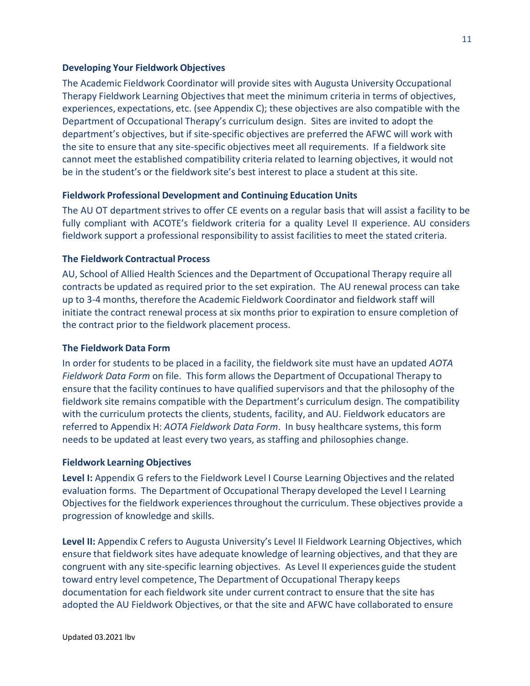### **Developing Your Fieldwork Objectives**

The Academic Fieldwork Coordinator will provide sites with Augusta University Occupational Therapy Fieldwork Learning Objectives that meet the minimum criteria in terms of objectives, experiences, expectations, etc. (see Appendix C); these objectives are also compatible with the Department of Occupational Therapy's curriculum design. Sites are invited to adopt the department's objectives, but if site-specific objectives are preferred the AFWC will work with the site to ensure that any site-specific objectives meet all requirements. If a fieldwork site cannot meet the established compatibility criteria related to learning objectives, it would not be in the student's or the fieldwork site's best interest to place a student at this site.

# **Fieldwork Professional Development and Continuing Education Units**

The AU OT department strives to offer CE events on a regular basis that will assist a facility to be fully compliant with ACOTE's fieldwork criteria for a quality Level II experience. AU considers fieldwork support a professional responsibility to assist facilities to meet the stated criteria.

# **The Fieldwork Contractual Process**

AU, School of Allied Health Sciences and the Department of Occupational Therapy require all contracts be updated as required prior to the set expiration. The AU renewal process can take up to 3-4 months, therefore the Academic Fieldwork Coordinator and fieldwork staff will initiate the contract renewal process at six months prior to expiration to ensure completion of the contract prior to the fieldwork placement process.

### **The Fieldwork Data Form**

In order for students to be placed in a facility, the fieldwork site must have an updated *AOTA Fieldwork Data Form* on file. This form allows the Department of Occupational Therapy to ensure that the facility continues to have qualified supervisors and that the philosophy of the fieldwork site remains compatible with the Department's curriculum design. The compatibility with the curriculum protects the clients, students, facility, and AU. Fieldwork educators are referred to Appendix H: *AOTA Fieldwork Data Form*. In busy healthcare systems, this form needs to be updated at least every two years, as staffing and philosophies change.

### **Fieldwork Learning Objectives**

**Level I:** Appendix G refers to the Fieldwork Level I Course Learning Objectives and the related evaluation forms. The Department of Occupational Therapy developed the Level I Learning Objectives for the fieldwork experiences throughout the curriculum. These objectives provide a progression of knowledge and skills.

**Level II:** Appendix C refers to Augusta University's Level II Fieldwork Learning Objectives, which ensure that fieldwork sites have adequate knowledge of learning objectives, and that they are congruent with any site-specific learning objectives. As Level II experiences guide the student toward entry level competence, The Department of Occupational Therapy keeps documentation for each fieldwork site under current contract to ensure that the site has adopted the AU Fieldwork Objectives, or that the site and AFWC have collaborated to ensure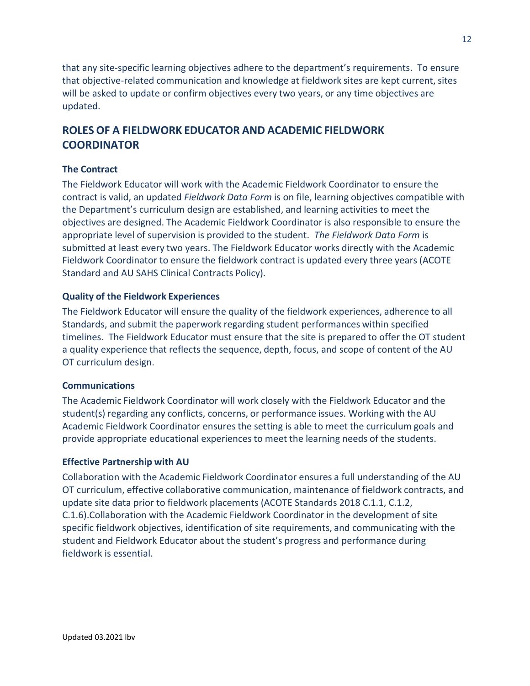that any site-specific learning objectives adhere to the department's requirements. To ensure that objective-related communication and knowledge at fieldwork sites are kept current, sites will be asked to update or confirm objectives every two years, or any time objectives are updated.

# **ROLES OF A FIELDWORK EDUCATOR AND ACADEMIC FIELDWORK COORDINATOR**

# **The Contract**

The Fieldwork Educator will work with the Academic Fieldwork Coordinator to ensure the contract is valid, an updated *Fieldwork Data Form* is on file, learning objectives compatible with the Department's curriculum design are established, and learning activities to meet the objectives are designed. The Academic Fieldwork Coordinator is also responsible to ensure the appropriate level of supervision is provided to the student. *The Fieldwork Data Form* is submitted at least every two years. The Fieldwork Educator works directly with the Academic Fieldwork Coordinator to ensure the fieldwork contract is updated every three years (ACOTE Standard and AU SAHS Clinical Contracts Policy).

# **Quality of the Fieldwork Experiences**

The Fieldwork Educator will ensure the quality of the fieldwork experiences, adherence to all Standards, and submit the paperwork regarding student performances within specified timelines. The Fieldwork Educator must ensure that the site is prepared to offer the OT student a quality experience that reflects the sequence, depth, focus, and scope of content of the AU OT curriculum design.

# **Communications**

The Academic Fieldwork Coordinator will work closely with the Fieldwork Educator and the student(s) regarding any conflicts, concerns, or performance issues. Working with the AU Academic Fieldwork Coordinator ensures the setting is able to meet the curriculum goals and provide appropriate educational experiences to meet the learning needs of the students.

# **Effective Partnership with AU**

Collaboration with the Academic Fieldwork Coordinator ensures a full understanding of the AU OT curriculum, effective collaborative communication, maintenance of fieldwork contracts, and update site data prior to fieldwork placements (ACOTE Standards 2018 C.1.1, C.1.2, C.1.6).Collaboration with the Academic Fieldwork Coordinator in the development of site specific fieldwork objectives, identification of site requirements, and communicating with the student and Fieldwork Educator about the student's progress and performance during fieldwork is essential.

12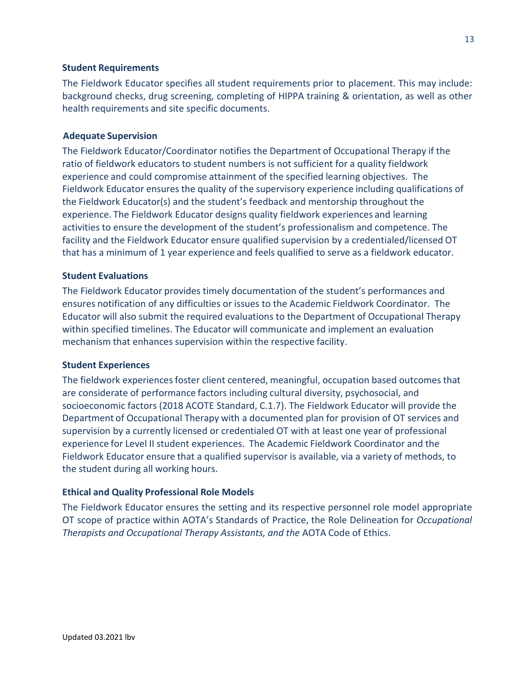### **Student Requirements**

The Fieldwork Educator specifies all student requirements prior to placement. This may include: background checks, drug screening, completing of HIPPA training & orientation, as well as other health requirements and site specific documents.

### **Adequate Supervision**

The Fieldwork Educator/Coordinator notifies the Department of Occupational Therapy if the ratio of fieldwork educators to student numbers is not sufficient for a quality fieldwork experience and could compromise attainment of the specified learning objectives. The Fieldwork Educator ensures the quality of the supervisory experience including qualifications of the Fieldwork Educator(s) and the student's feedback and mentorship throughout the experience. The Fieldwork Educator designs quality fieldwork experiences and learning activities to ensure the development of the student's professionalism and competence. The facility and the Fieldwork Educator ensure qualified supervision by a credentialed/licensed OT that has a minimum of 1 year experience and feels qualified to serve as a fieldwork educator.

### **Student Evaluations**

The Fieldwork Educator provides timely documentation of the student's performances and ensures notification of any difficulties or issues to the Academic Fieldwork Coordinator. The Educator will also submit the required evaluations to the Department of Occupational Therapy within specified timelines. The Educator will communicate and implement an evaluation mechanism that enhances supervision within the respective facility.

#### **Student Experiences**

The fieldwork experiences foster client centered, meaningful, occupation based outcomes that are considerate of performance factors including cultural diversity, psychosocial, and socioeconomic factors (2018 ACOTE Standard, C.1.7). The Fieldwork Educator will provide the Department of Occupational Therapy with a documented plan for provision of OT services and supervision by a currently licensed or credentialed OT with at least one year of professional experience for Level II student experiences. The Academic Fieldwork Coordinator and the Fieldwork Educator ensure that a qualified supervisor is available, via a variety of methods, to the student during all working hours.

#### **Ethical and Quality Professional Role Models**

The Fieldwork Educator ensures the setting and its respective personnel role model appropriate OT scope of practice within AOTA's Standards of Practice, the Role Delineation for *Occupational Therapists and Occupational Therapy Assistants, and the* AOTA Code of Ethics.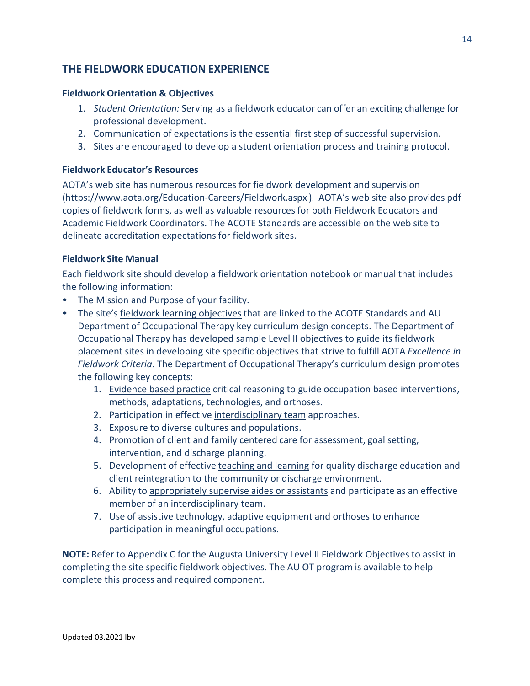# **THE FIELDWORK EDUCATION EXPERIENCE**

# **Fieldwork Orientation & Objectives**

- 1. *Student Orientation:* Serving as a fieldwork educator can offer an exciting challenge for professional development.
- 2. Communication of expectations is the essential first step of successful supervision.
- 3. Sites are encouraged to develop a student orientation process and training protocol.

# **Fieldwork Educator's Resources**

AOTA's web site has numerous resources for fieldwork development and supervisio[n](http://www.aota.org/Education-Careers/Fieldwork.aspx) [\(https://www.aota.org/Education-Careers/Fieldw](http://www.aota.org/Education-Careers/Fieldwork.aspx)ork.aspx ). AOTA's web site also provides pdf copies of fieldwork forms, as well as valuable resources for both Fieldwork Educators and Academic Fieldwork Coordinators. The ACOTE Standards are accessible on the web site to delineate accreditation expectations for fieldwork sites.

# **Fieldwork Site Manual**

Each fieldwork site should develop a fieldwork orientation notebook or manual that includes the following information:

- The Mission and Purpose of your facility.
- The site's fieldwork learning objectives that are linked to the ACOTE Standards and AU Department of Occupational Therapy key curriculum design concepts. The Department of Occupational Therapy has developed sample Level II objectives to guide its fieldwork placement sites in developing site specific objectives that strive to fulfill AOTA *Excellence in Fieldwork Criteria*. The Department of Occupational Therapy's curriculum design promotes the following key concepts:
	- 1. Evidence based practice critical reasoning to guide occupation based interventions, methods, adaptations, technologies, and orthoses.
	- 2. Participation in effective interdisciplinary team approaches.
	- 3. Exposure to diverse cultures and populations.
	- 4. Promotion of client and family centered care for assessment, goal setting, intervention, and discharge planning.
	- 5. Development of effective teaching and learning for quality discharge education and client reintegration to the community or discharge environment.
	- 6. Ability to appropriately supervise aides or assistants and participate as an effective member of an interdisciplinary team.
	- 7. Use of assistive technology, adaptive equipment and orthoses to enhance participation in meaningful occupations.

**NOTE:** Refer to Appendix C for the Augusta University Level II Fieldwork Objectives to assist in completing the site specific fieldwork objectives. The AU OT program is available to help complete this process and required component.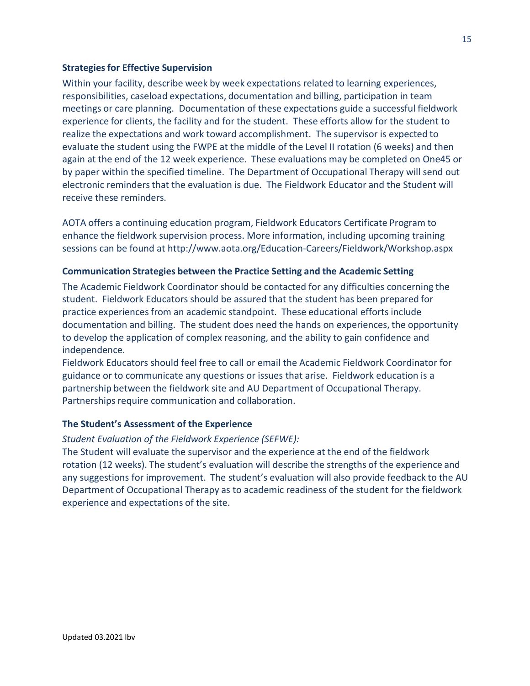### **Strategiesfor Effective Supervision**

Within your facility, describe week by week expectations related to learning experiences, responsibilities, caseload expectations, documentation and billing, participation in team meetings or care planning. Documentation of these expectations guide a successful fieldwork experience for clients, the facility and for the student. These efforts allow for the student to realize the expectations and work toward accomplishment. The supervisor is expected to evaluate the student using the FWPE at the middle of the Level II rotation (6 weeks) and then again at the end of the 12 week experience. These evaluations may be completed on One45 or by paper within the specified timeline. The Department of Occupational Therapy will send out electronic remindersthat the evaluation is due. The Fieldwork Educator and the Student will receive these reminders.

AOTA offers a continuing education program, Fieldwork Educators Certificate Program to enhance the fieldwork supervision process. More information, including upcoming training sessions can be found at<http://www.aota.org/Education-Careers/Fieldwork/Workshop.aspx>

# **Communication Strategies between the Practice Setting and the Academic Setting**

The Academic Fieldwork Coordinator should be contacted for any difficulties concerning the student. Fieldwork Educators should be assured that the student has been prepared for practice experiencesfrom an academic standpoint. These educational efforts include documentation and billing. The student does need the hands on experiences, the opportunity to develop the application of complex reasoning, and the ability to gain confidence and independence.

Fieldwork Educators should feel free to call or email the Academic Fieldwork Coordinator for guidance or to communicate any questions or issues that arise. Fieldwork education is a partnership between the fieldwork site and AU Department of Occupational Therapy. Partnerships require communication and collaboration.

# **The Student's Assessment of the Experience**

### *Student Evaluation of the Fieldwork Experience (SEFWE):*

The Student will evaluate the supervisor and the experience at the end of the fieldwork rotation (12 weeks). The student's evaluation will describe the strengths of the experience and any suggestions for improvement. The student's evaluation will also provide feedback to the AU Department of Occupational Therapy as to academic readiness of the student for the fieldwork experience and expectations of the site.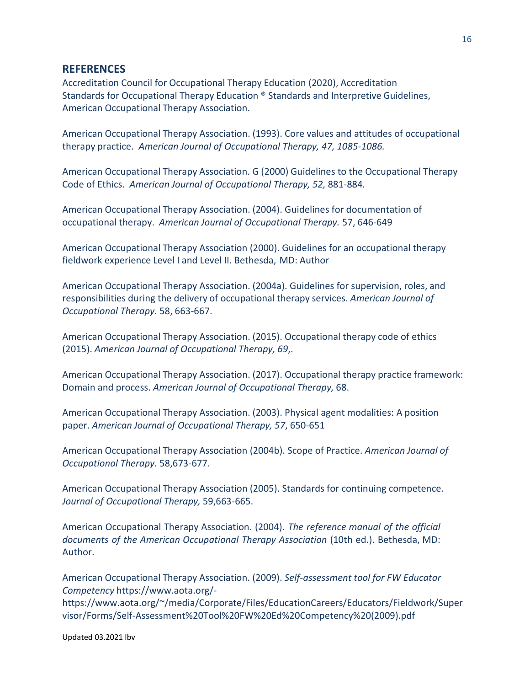# **REFERENCES**

Accreditation Council for Occupational Therapy Education (2020), Accreditation Standards for Occupational Therapy Education ® Standards and Interpretive Guidelines, American Occupational Therapy Association.

American Occupational Therapy Association. (1993). Core values and attitudes of occupational therapy practice. *American Journal of Occupational Therapy, 47, 1085-1086.*

American Occupational Therapy Association. G (2000) Guidelines to the Occupational Therapy Code of Ethics. *American Journal of Occupational Therapy, 52,* 881-884*.*

American Occupational Therapy Association. (2004). Guidelines for documentation of occupational therapy. *American Journal of Occupational Therapy.* 57, 646-649

American Occupational Therapy Association (2000). Guidelines for an occupational therapy fieldwork experience Level I and Level II. Bethesda, MD: Author

American Occupational Therapy Association. (2004a). Guidelines for supervision, roles, and responsibilities during the delivery of occupational therapy services. *American Journal of Occupational Therapy.* 58, 663-667.

American Occupational Therapy Association. (2015). Occupational therapy code of ethics (2015). *American Journal of Occupational Therapy, 69*,.

American Occupational Therapy Association. (2017). Occupational therapy practice framework: Domain and process. *American Journal of Occupational Therapy,* 68.

American Occupational Therapy Association. (2003). Physical agent modalities: A position paper. *American Journal of Occupational Therapy, 57*, 650-651

American Occupational Therapy Association (2004b). Scope of Practice. *American Journal of Occupational Therapy.* 58,673-677.

American Occupational Therapy Association (2005). Standards for continuing competence. *Journal of Occupational Therapy,* 59,663-665.

American Occupational Therapy Association. (2004). *The reference manual of the official documents of the American Occupational Therapy Association* (10th ed.). Bethesda, MD: Author.

American Occupational Therapy Association. (2009). *Self-assessment tool for FW Educator Competency* [https://www.aota.org/-](http://www.aota.org/-)

[https://www.aota.org/~/media/Corporate/Files/EducationCareers/Educators/Fieldwork/Super](http://www.aota.org/%7E/media/Corporate/Files/EducationCareers/Educators/Fieldwork/Super) visor/Forms/Self-Assessment%20Tool%20FW%20Ed%20Competency%20(2009).pdf

Updated 03.2021 lbv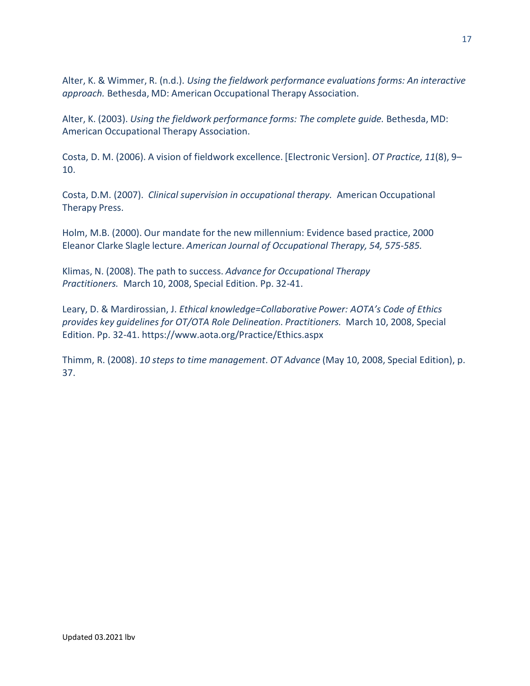Alter, K. & Wimmer, R. (n.d.). *Using the fieldwork performance evaluations forms: An interactive approach.* Bethesda, MD: American Occupational Therapy Association.

Alter, K. (2003). *Using the fieldwork performance forms: The complete guide.* Bethesda, MD: American Occupational Therapy Association.

Costa, D. M. (2006). A vision of fieldwork excellence. [Electronic Version]. *OT Practice, 11*(8), 9– 10.

Costa, D.M. (2007). *Clinical supervision in occupational therapy.* American Occupational Therapy Press.

Holm, M.B. (2000). Our mandate for the new millennium: Evidence based practice, 2000 Eleanor Clarke Slagle lecture. *American Journal of Occupational Therapy, 54, 575-585.*

Klimas, N. (2008). The path to success. *Advance for Occupational Therapy Practitioners.* March 10, 2008, Special Edition. Pp. 32-41.

Leary, D. & Mardirossian, J. *Ethical knowledge=Collaborative Power: AOTA's Code of Ethics provides key guidelines for OT/OTA Role Delineation*. *Practitioners.* March 10, 2008, Specia[l](http://www.aota.org/Practice/Ethics.aspx) Edition. Pp. 32-41. [https://www.aota.org/Practice/Ethics.aspx](http://www.aota.org/Practice/Ethics.aspx)

Thimm, R. (2008). *10 steps to time management*. *OT Advance* (May 10, 2008, Special Edition), p. 37.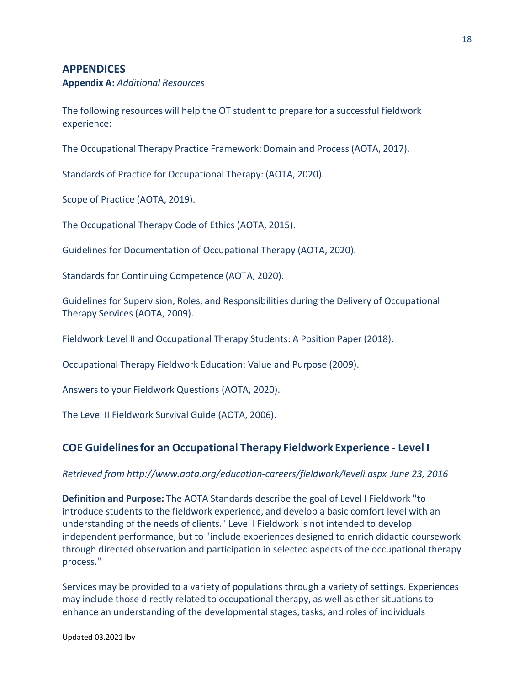# **APPENDICES**

**Appendix A:** *Additional Resources*

The following resources will help the OT student to prepare for a successful fieldwork experience:

The Occupational Therapy Practice Framework: Domain and Process (AOTA, 2017).

Standards of Practice for Occupational Therapy: (AOTA, 2020).

Scope of Practice (AOTA, 2019).

The Occupational Therapy Code of Ethics (AOTA, 2015).

Guidelines for Documentation of Occupational Therapy (AOTA, 2020).

Standards for Continuing Competence (AOTA, 2020).

Guidelines for Supervision, Roles, and Responsibilities during the Delivery of Occupational Therapy Services (AOTA, 2009).

Fieldwork Level II and Occupational Therapy Students: A Position Paper (2018).

Occupational Therapy Fieldwork Education: Value and Purpose (2009).

Answers to your Fieldwork Questions (AOTA, 2020).

The Level II Fieldwork Survival Guide (AOTA, 2006).

# **COE Guidelinesfor an Occupational Therapy Fieldwork Experience - Level I**

#### *Retrieved from [http://www.aota.org/education-careers/fieldwork/leveli.](http://www.aota.org/education-careers/fieldwork/leveli.aspx)aspx June 23, 2016*

**Definition and Purpose:** The AOTA Standards describe the goal of Level I Fieldwork "to introduce students to the fieldwork experience, and develop a basic comfort level with an understanding of the needs of clients." Level I Fieldwork is not intended to develop independent performance, but to "include experiences designed to enrich didactic coursework through directed observation and participation in selected aspects of the occupational therapy process."

Services may be provided to a variety of populations through a variety of settings. Experiences may include those directly related to occupational therapy, as well as other situations to enhance an understanding of the developmental stages, tasks, and roles of individuals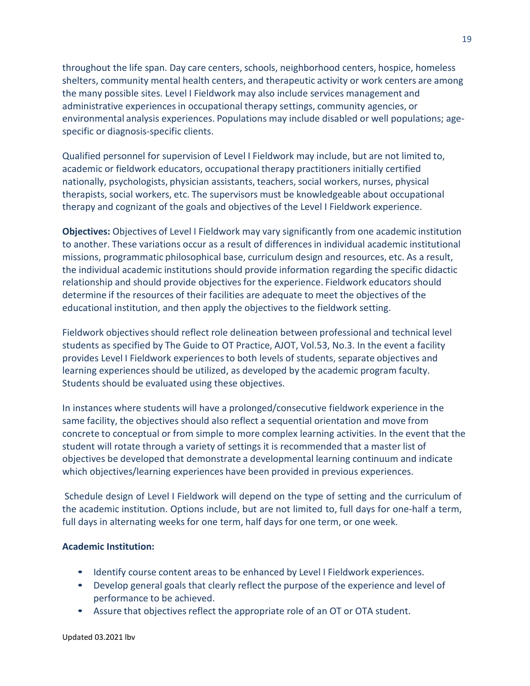throughout the life span. Day care centers, schools, neighborhood centers, hospice, homeless shelters, community mental health centers, and therapeutic activity or work centers are among the many possible sites. Level I Fieldwork may also include services management and administrative experiencesin occupational therapy settings, community agencies, or environmental analysis experiences. Populations may include disabled or well populations; agespecific or diagnosis-specific clients.

Qualified personnel for supervision of Level I Fieldwork may include, but are not limited to, academic or fieldwork educators, occupational therapy practitioners initially certified nationally, psychologists, physician assistants, teachers, social workers, nurses, physical therapists, social workers, etc. The supervisors must be knowledgeable about occupational therapy and cognizant of the goals and objectives of the Level I Fieldwork experience.

**Objectives:** Objectives of Level I Fieldwork may vary significantly from one academic institution to another. These variations occur as a result of differencesin individual academic institutional missions, programmatic philosophical base, curriculum design and resources, etc. As a result, the individual academic institutions should provide information regarding the specific didactic relationship and should provide objectivesfor the experience. Fieldwork educators should determine if the resources of their facilities are adequate to meet the objectives of the educational institution, and then apply the objectives to the fieldwork setting.

Fieldwork objectives should reflect role delineation between professional and technical level students as specified by The Guide to OT Practice, AJOT, Vol.53, No.3. In the event a facility provides Level I Fieldwork experiencesto both levels of students, separate objectives and learning experiences should be utilized, as developed by the academic program faculty. Students should be evaluated using these objectives.

In instances where students will have a prolonged/consecutive fieldwork experience in the same facility, the objectives should also reflect a sequential orientation and move from concrete to conceptual or from simple to more complex learning activities. In the event that the student will rotate through a variety of settings it is recommended that a master list of objectives be developed that demonstrate a developmental learning continuum and indicate which objectives/learning experiences have been provided in previous experiences.

Schedule design of Level I Fieldwork will depend on the type of setting and the curriculum of the academic institution. Options include, but are not limited to, full days for one-half a term, full days in alternating weeks for one term, half days for one term, or one week.

### **Academic Institution:**

- Identify course content areas to be enhanced by Level I Fieldwork experiences.
- Develop general goals that clearly reflect the purpose of the experience and level of performance to be achieved.
- Assure that objectives reflect the appropriate role of an OT or OTA student.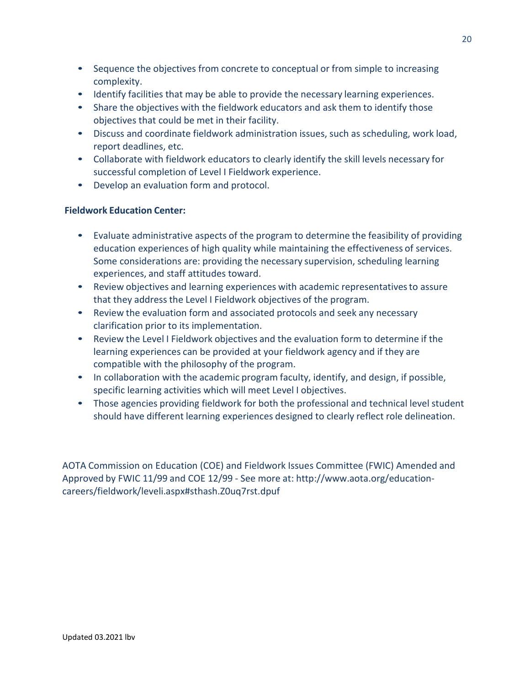- Sequence the objectives from concrete to conceptual or from simple to increasing complexity.
- Identify facilities that may be able to provide the necessary learning experiences.
- Share the objectives with the fieldwork educators and ask them to identify those objectives that could be met in their facility.
- Discuss and coordinate fieldwork administration issues, such as scheduling, work load, report deadlines, etc.
- Collaborate with fieldwork educators to clearly identify the skill levels necessary for successful completion of Level I Fieldwork experience.
- Develop an evaluation form and protocol.

# **Fieldwork Education Center:**

- Evaluate administrative aspects of the program to determine the feasibility of providing education experiences of high quality while maintaining the effectiveness of services. Some considerations are: providing the necessary supervision, scheduling learning experiences, and staff attitudes toward.
- Review objectives and learning experiences with academic representatives to assure that they address the Level I Fieldwork objectives of the program.
- Review the evaluation form and associated protocols and seek any necessary clarification prior to its implementation.
- Review the Level I Fieldwork objectives and the evaluation form to determine if the learning experiences can be provided at your fieldwork agency and if they are compatible with the philosophy of the program.
- In collaboration with the academic program faculty, identify, and design, if possible, specific learning activities which will meet Level I objectives.
- Those agencies providing fieldwork for both the professional and technical level student should have different learning experiences designed to clearly reflect role delineation.

AOTA Commission on Education (COE) and Fieldwork Issues Committee (FWIC) Amended and Approved by FWIC 11/99 and COE 12/99 - See more at: [http://www.aota.org/education](http://www.aota.org/education-)careers/fieldwork/leveli.aspx#sthash.Z0uq7rst.dpuf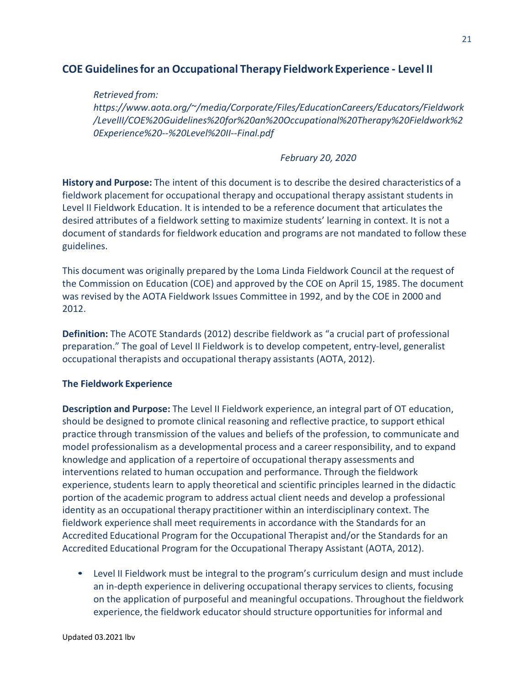# **COE Guidelinesfor an Occupational Therapy Fieldwork Experience - Level II**

*Retrieved from: [https://www.aota.org/~/media/Corporate/Files/EducationCareers/Educators/Fieldwork](http://www.aota.org/%7E/media/Corporate/Files/EducationCareers/Educators/Fieldwork) /LevelII/COE%20Guidelines%20for%20an%20Occupational%20Therapy%20Fieldwork%2 0Experience%20--%20Level%20II--Final.pdf*

# *February 20, 2020*

**History and Purpose:** The intent of this document is to describe the desired characteristics of a fieldwork placement for occupational therapy and occupational therapy assistant students in Level II Fieldwork Education. It is intended to be a reference document that articulates the desired attributes of a fieldwork setting to maximize students' learning in context. It is not a document of standards for fieldwork education and programs are not mandated to follow these guidelines.

This document was originally prepared by the Loma Linda Fieldwork Council at the request of the Commission on Education (COE) and approved by the COE on April 15, 1985. The document was revised by the AOTA Fieldwork Issues Committee in 1992, and by the COE in 2000 and 2012.

**Definition:** The ACOTE Standards (2012) describe fieldwork as "a crucial part of professional preparation." The goal of Level II Fieldwork is to develop competent, entry-level, generalist occupational therapists and occupational therapy assistants (AOTA, 2012).

# **The Fieldwork Experience**

**Description and Purpose:** The Level II Fieldwork experience, an integral part of OT education, should be designed to promote clinical reasoning and reflective practice, to support ethical practice through transmission of the values and beliefs of the profession, to communicate and model professionalism as a developmental process and a career responsibility, and to expand knowledge and application of a repertoire of occupational therapy assessments and interventions related to human occupation and performance. Through the fieldwork experience, students learn to apply theoretical and scientific principles learned in the didactic portion of the academic program to address actual client needs and develop a professional identity as an occupational therapy practitioner within an interdisciplinary context. The fieldwork experience shall meet requirements in accordance with the Standards for an Accredited Educational Program for the Occupational Therapist and/or the Standards for an Accredited Educational Program for the Occupational Therapy Assistant (AOTA, 2012).

• Level II Fieldwork must be integral to the program's curriculum design and must include an in-depth experience in delivering occupational therapy services to clients, focusing on the application of purposeful and meaningful occupations. Throughout the fieldwork experience, the fieldwork educator should structure opportunities for informal and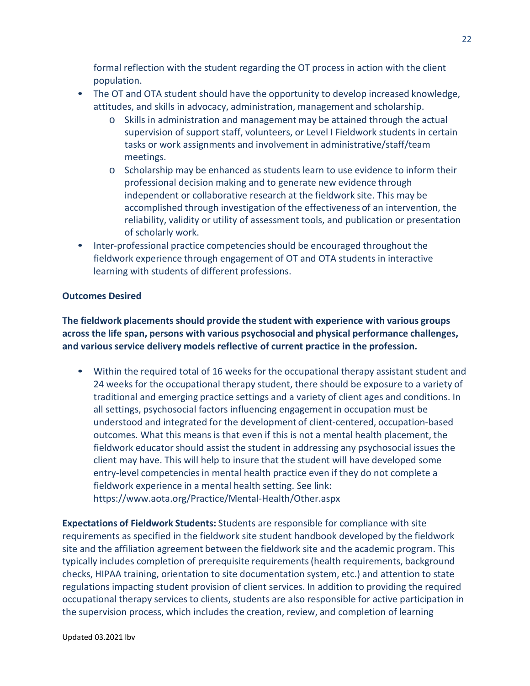formal reflection with the student regarding the OT process in action with the client population.

- The OT and OTA student should have the opportunity to develop increased knowledge, attitudes, and skills in advocacy, administration, management and scholarship.
	- o Skills in administration and management may be attained through the actual supervision of support staff, volunteers, or Level I Fieldwork students in certain tasks or work assignments and involvement in administrative/staff/team meetings.
	- o Scholarship may be enhanced as students learn to use evidence to inform their professional decision making and to generate new evidence through independent or collaborative research at the fieldwork site. This may be accomplished through investigation of the effectiveness of an intervention, the reliability, validity or utility of assessment tools, and publication or presentation of scholarly work.
- Inter-professional practice competencies should be encouraged throughout the fieldwork experience through engagement of OT and OTA students in interactive learning with students of different professions.

# **Outcomes Desired**

**The fieldwork placements should provide the student with experience with various groups across the life span, persons with various psychosocial and physical performance challenges, and various service delivery models reflective of current practice in the profession.**

• Within the required total of 16 weeks for the occupational therapy assistant student and 24 weeks for the occupational therapy student, there should be exposure to a variety of traditional and emerging practice settings and a variety of client ages and conditions. In all settings, psychosocial factors influencing engagement in occupation must be understood and integrated for the development of client-centered, occupation-based outcomes. What this means is that even if this is not a mental health placement, the fieldwork educator should assist the student in addressing any psychosocial issues the client may have. This will help to insure that the student will have developed some entry-level competenciesin mental health practice even if they do not complete a fieldwork experience in a mental health setting. See link: [https://www.aota.org/Practice/Mental-Health/Other.aspx](http://www.aota.org/Practice/Mental-Health/Other.aspx)

**Expectations of Fieldwork Students:** Students are responsible for compliance with site requirements as specified in the fieldwork site student handbook developed by the fieldwork site and the affiliation agreement between the fieldwork site and the academic program. This typically includes completion of prerequisite requirements(health requirements, background checks, HIPAA training, orientation to site documentation system, etc.) and attention to state regulations impacting student provision of client services. In addition to providing the required occupational therapy services to clients, students are also responsible for active participation in the supervision process, which includes the creation, review, and completion of learning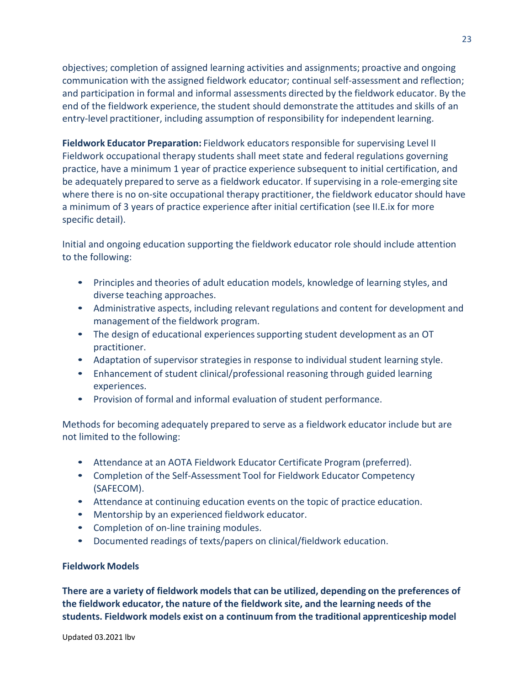objectives; completion of assigned learning activities and assignments; proactive and ongoing communication with the assigned fieldwork educator; continual self-assessment and reflection; and participation in formal and informal assessments directed by the fieldwork educator. By the end of the fieldwork experience, the student should demonstrate the attitudes and skills of an entry-level practitioner, including assumption of responsibility for independent learning.

**Fieldwork Educator Preparation:** Fieldwork educators responsible for supervising Level II Fieldwork occupational therapy students shall meet state and federal regulations governing practice, have a minimum 1 year of practice experience subsequent to initial certification, and be adequately prepared to serve as a fieldwork educator. If supervising in a role-emerging site where there is no on-site occupational therapy practitioner, the fieldwork educator should have a minimum of 3 years of practice experience after initial certification (see II.E.ix for more specific detail).

Initial and ongoing education supporting the fieldwork educator role should include attention to the following:

- Principles and theories of adult education models, knowledge of learning styles, and diverse teaching approaches.
- Administrative aspects, including relevant regulations and content for development and management of the fieldwork program.
- The design of educational experiences supporting student development as an OT practitioner.
- Adaptation of supervisor strategies in response to individual student learning style.
- Enhancement of student clinical/professional reasoning through guided learning experiences.
- Provision of formal and informal evaluation of student performance.

Methods for becoming adequately prepared to serve as a fieldwork educator include but are not limited to the following:

- Attendance at an AOTA Fieldwork Educator Certificate Program (preferred).
- Completion of the Self-Assessment Tool for Fieldwork Educator Competency (SAFECOM).
- Attendance at continuing education events on the topic of practice education.
- Mentorship by an experienced fieldwork educator.
- Completion of on-line training modules.
- Documented readings of texts/papers on clinical/fieldwork education.

# **Fieldwork Models**

**There are a variety of fieldwork modelsthat can be utilized, depending on the preferences of the fieldwork educator, the nature of the fieldwork site, and the learning needs of the students. Fieldwork models exist on a continuum from the traditional apprenticeship model**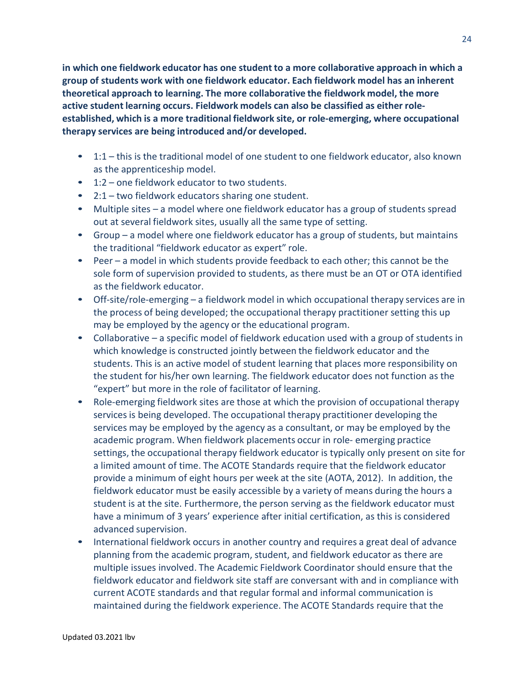**in which one fieldwork educator has one student to a more collaborative approach in which a group of students work with one fieldwork educator. Each fieldwork model has an inherent theoretical approach to learning. The more collaborative the fieldwork model, the more active student learning occurs. Fieldwork models can also be classified as either roleestablished, which is a more traditional fieldwork site, or role-emerging, where occupational therapy services are being introduced and/or developed.**

- 1:1 this is the traditional model of one student to one fieldwork educator, also known as the apprenticeship model.
- 1:2 one fieldwork educator to two students.
- 2:1 two fieldwork educators sharing one student.
- Multiple sites a model where one fieldwork educator has a group of students spread out at several fieldwork sites, usually all the same type of setting.
- Group a model where one fieldwork educator has a group of students, but maintains the traditional "fieldwork educator as expert" role.
- Peer a model in which students provide feedback to each other; this cannot be the sole form of supervision provided to students, as there must be an OT or OTA identified as the fieldwork educator.
- Off-site/role-emerging a fieldwork model in which occupational therapy services are in the process of being developed; the occupational therapy practitioner setting this up may be employed by the agency or the educational program.
- Collaborative a specific model of fieldwork education used with a group of students in which knowledge is constructed jointly between the fieldwork educator and the students. This is an active model of student learning that places more responsibility on the student for his/her own learning. The fieldwork educator does not function as the "expert" but more in the role of facilitator of learning.
- Role-emerging fieldwork sites are those at which the provision of occupational therapy services is being developed. The occupational therapy practitioner developing the services may be employed by the agency as a consultant, or may be employed by the academic program. When fieldwork placements occur in role- emerging practice settings, the occupational therapy fieldwork educator is typically only present on site for a limited amount of time. The ACOTE Standards require that the fieldwork educator provide a minimum of eight hours per week at the site (AOTA, 2012). In addition, the fieldwork educator must be easily accessible by a variety of means during the hours a student is at the site. Furthermore, the person serving as the fieldwork educator must have a minimum of 3 years' experience after initial certification, as this is considered advanced supervision.
- International fieldwork occurs in another country and requires a great deal of advance planning from the academic program, student, and fieldwork educator as there are multiple issues involved. The Academic Fieldwork Coordinator should ensure that the fieldwork educator and fieldwork site staff are conversant with and in compliance with current ACOTE standards and that regular formal and informal communication is maintained during the fieldwork experience. The ACOTE Standards require that the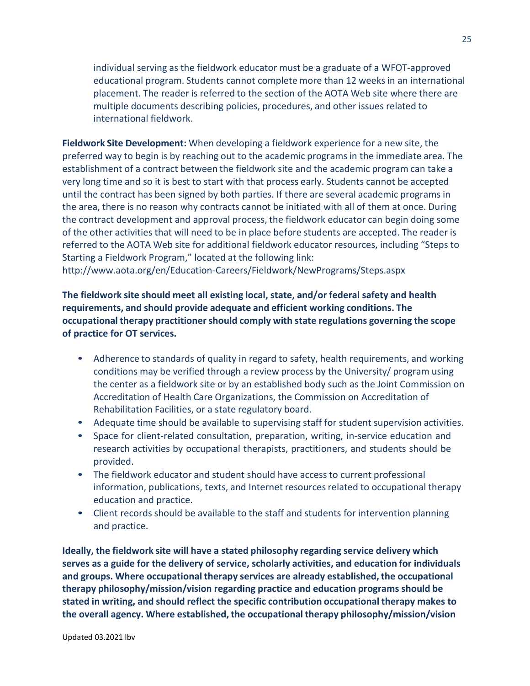individual serving as the fieldwork educator must be a graduate of a WFOT-approved educational program. Students cannot complete more than 12 weeks in an international placement. The reader is referred to the section of the AOTA Web site where there are multiple documents describing policies, procedures, and other issues related to international fieldwork.

**Fieldwork Site Development:** When developing a fieldwork experience for a new site, the preferred way to begin is by reaching out to the academic programsin the immediate area. The establishment of a contract between the fieldwork site and the academic program can take a very long time and so it is best to start with that process early. Students cannot be accepted until the contract has been signed by both parties. If there are several academic programs in the area, there is no reason why contracts cannot be initiated with all of them at once. During the contract development and approval process, the fieldwork educator can begin doing some of the other activities that will need to be in place before students are accepted. The reader is referred to the AOTA Web site for additional fieldwork educator resources, including "Steps to Starting a Fieldwork Program," located at the following link[:](http://www.aota.org/en/Education-Careers/Fieldwork/NewPrograms/Steps.aspx)

<http://www.aota.org/en/Education-Careers/Fieldwork/NewPrograms/Steps.aspx>

**The fieldwork site should meet all existing local, state, and/or federal safety and health requirements, and should provide adequate and efficient working conditions. The occupational therapy practitionershould comply with state regulations governing the scope of practice for OT services.**

- Adherence to standards of quality in regard to safety, health requirements, and working conditions may be verified through a review process by the University/ program using the center as a fieldwork site or by an established body such as the Joint Commission on Accreditation of Health Care Organizations, the Commission on Accreditation of Rehabilitation Facilities, or a state regulatory board.
- Adequate time should be available to supervising staff for student supervision activities.
- Space for client-related consultation, preparation, writing, in-service education and research activities by occupational therapists, practitioners, and students should be provided.
- The fieldwork educator and student should have access to current professional information, publications, texts, and Internet resources related to occupational therapy education and practice.
- Client records should be available to the staff and students for intervention planning and practice.

**Ideally, the fieldwork site will have a stated philosophy regarding service delivery which serves as a guide for the delivery of service, scholarly activities, and education for individuals and groups. Where occupational therapy services are already established,the occupational therapy philosophy/mission/vision regarding practice and education programs should be stated in writing, and should reflect the specific contribution occupational therapy makes to the** overall agency. Where established, the occupational therapy philosophy/mission/vision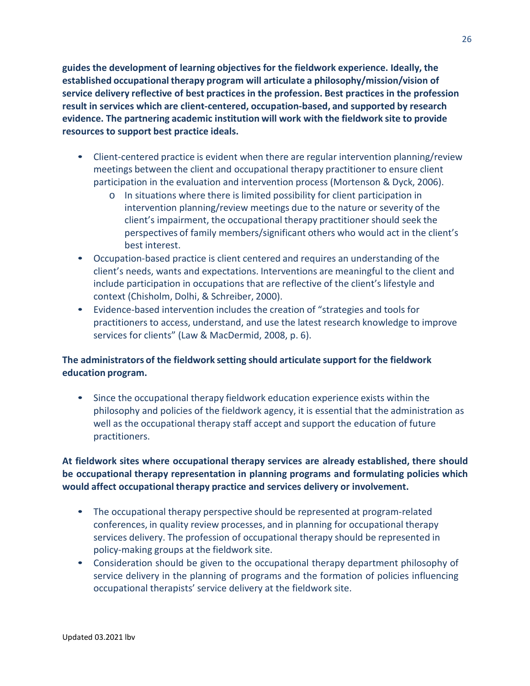**guides the development of learning objectives for the fieldwork experience. Ideally, the established occupational therapy program will articulate a philosophy/mission/vision of service delivery reflective of best practices in the profession. Best practices in the profession result in services which are client-centered, occupation-based, and supported by research evidence. The partnering academic institution will work with the fieldwork site to provide resources to support best practice ideals.**

- Client-centered practice is evident when there are regular intervention planning/review meetings between the client and occupational therapy practitioner to ensure client participation in the evaluation and intervention process (Mortenson & Dyck, 2006).
	- o In situations where there is limited possibility for client participation in intervention planning/review meetings due to the nature or severity of the client's impairment, the occupational therapy practitioner should seek the perspectives of family members/significant others who would act in the client's best interest.
- Occupation-based practice is client centered and requires an understanding of the client's needs, wants and expectations. Interventions are meaningful to the client and include participation in occupations that are reflective of the client's lifestyle and context (Chisholm, Dolhi, & Schreiber, 2000).
- Evidence-based intervention includes the creation of "strategies and tools for practitioners to access, understand, and use the latest research knowledge to improve services for clients" (Law & MacDermid, 2008, p. 6).

# **The administrators of the fieldwork setting should articulate support for the fieldwork education program.**

• Since the occupational therapy fieldwork education experience exists within the philosophy and policies of the fieldwork agency, it is essential that the administration as well as the occupational therapy staff accept and support the education of future practitioners.

# **At fieldwork sites where occupational therapy services are already established, there should be occupational therapy representation in planning programs and formulating policies which would affect occupational therapy practice and services delivery or involvement.**

- The occupational therapy perspective should be represented at program-related conferences, in quality review processes, and in planning for occupational therapy services delivery. The profession of occupational therapy should be represented in policy-making groups at the fieldwork site.
- Consideration should be given to the occupational therapy department philosophy of service delivery in the planning of programs and the formation of policies influencing occupational therapists' service delivery at the fieldwork site.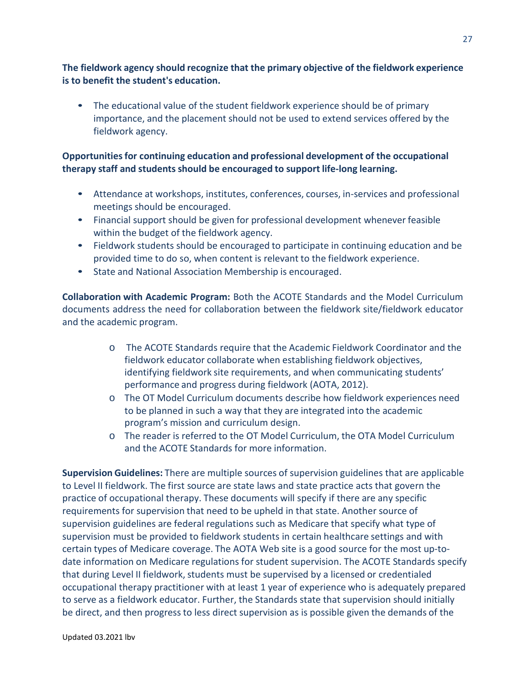**The fieldwork agency should recognize that the primary objective of the fieldwork experience is to benefit the student's education.**

• The educational value of the student fieldwork experience should be of primary importance, and the placement should not be used to extend services offered by the fieldwork agency.

# **Opportunitiesfor continuing education and professional development of the occupational therapy staff and students should be encouraged to support life-long learning.**

- Attendance at workshops, institutes, conferences, courses, in-services and professional meetings should be encouraged.
- Financial support should be given for professional development whenever feasible within the budget of the fieldwork agency.
- Fieldwork students should be encouraged to participate in continuing education and be provided time to do so, when content is relevant to the fieldwork experience.
- State and National Association Membership is encouraged.

**Collaboration with Academic Program:** Both the ACOTE Standards and the Model Curriculum documents address the need for collaboration between the fieldwork site/fieldwork educator and the academic program.

- o The ACOTE Standards require that the Academic Fieldwork Coordinator and the fieldwork educator collaborate when establishing fieldwork objectives, identifying fieldwork site requirements, and when communicating students' performance and progress during fieldwork (AOTA, 2012).
- o The OT Model Curriculum documents describe how fieldwork experiences need to be planned in such a way that they are integrated into the academic program's mission and curriculum design.
- o The reader is referred to the OT Model Curriculum, the OTA Model Curriculum and the ACOTE Standards for more information.

**Supervision Guidelines:** There are multiple sources of supervision guidelines that are applicable to Level II fieldwork. The first source are state laws and state practice acts that govern the practice of occupational therapy. These documents will specify if there are any specific requirements for supervision that need to be upheld in that state. Another source of supervision guidelines are federal regulations such as Medicare that specify what type of supervision must be provided to fieldwork students in certain healthcare settings and with certain types of Medicare coverage. The AOTA Web site is a good source for the most up-todate information on Medicare regulations for student supervision. The ACOTE Standards specify that during Level II fieldwork, students must be supervised by a licensed or credentialed occupational therapy practitioner with at least 1 year of experience who is adequately prepared to serve as a fieldwork educator. Further, the Standards state that supervision should initially be direct, and then progress to less direct supervision as is possible given the demands of the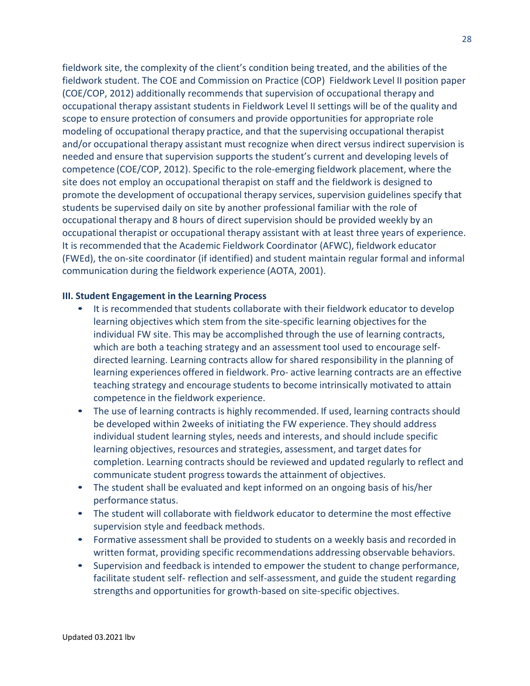fieldwork site, the complexity of the client's condition being treated, and the abilities of the fieldwork student. The COE and Commission on Practice (COP) Fieldwork Level II position paper (COE/COP, 2012) additionally recommends that supervision of occupational therapy and occupational therapy assistant students in Fieldwork Level II settings will be of the quality and scope to ensure protection of consumers and provide opportunities for appropriate role modeling of occupational therapy practice, and that the supervising occupational therapist and/or occupational therapy assistant must recognize when direct versus indirect supervision is needed and ensure that supervision supports the student's current and developing levels of competence (COE/COP, 2012). Specific to the role-emerging fieldwork placement, where the site does not employ an occupational therapist on staff and the fieldwork is designed to promote the development of occupational therapy services, supervision guidelines specify that students be supervised daily on site by another professional familiar with the role of occupational therapy and 8 hours of direct supervision should be provided weekly by an occupational therapist or occupational therapy assistant with at least three years of experience. It is recommended that the Academic Fieldwork Coordinator (AFWC), fieldwork educator (FWEd), the on-site coordinator (if identified) and student maintain regular formal and informal communication during the fieldwork experience (AOTA, 2001).

### **III. Student Engagement in the Learning Process**

- It is recommended that students collaborate with their fieldwork educator to develop learning objectives which stem from the site-specific learning objectivesfor the individual FW site. This may be accomplished through the use of learning contracts, which are both a teaching strategy and an assessment tool used to encourage selfdirected learning. Learning contracts allow for shared responsibility in the planning of learning experiences offered in fieldwork. Pro- active learning contracts are an effective teaching strategy and encourage students to become intrinsically motivated to attain competence in the fieldwork experience.
- The use of learning contracts is highly recommended. If used, learning contracts should be developed within 2weeks of initiating the FW experience. They should address individual student learning styles, needs and interests, and should include specific learning objectives, resources and strategies, assessment, and target dates for completion. Learning contracts should be reviewed and updated regularly to reflect and communicate student progresstowards the attainment of objectives.
- The student shall be evaluated and kept informed on an ongoing basis of his/her performance status.
- The student will collaborate with fieldwork educator to determine the most effective supervision style and feedback methods.
- Formative assessment shall be provided to students on a weekly basis and recorded in written format, providing specific recommendations addressing observable behaviors.
- Supervision and feedback is intended to empower the student to change performance, facilitate student self- reflection and self-assessment, and guide the student regarding strengths and opportunities for growth-based on site-specific objectives.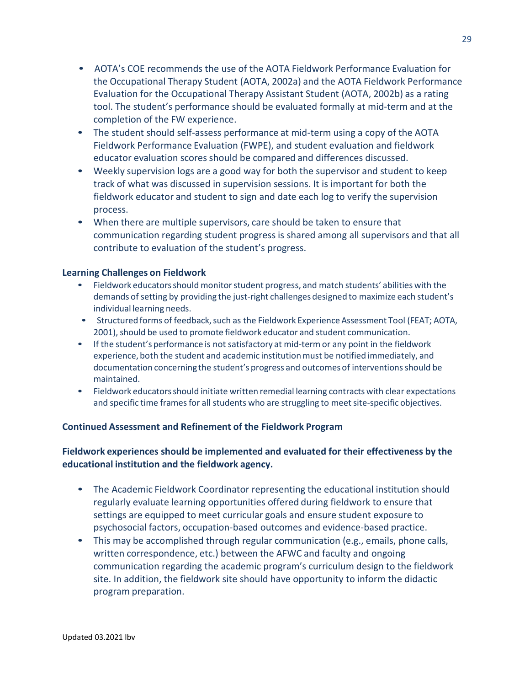- AOTA's COE recommends the use of the AOTA Fieldwork Performance Evaluation for the Occupational Therapy Student (AOTA, 2002a) and the AOTA Fieldwork Performance Evaluation for the Occupational Therapy Assistant Student (AOTA, 2002b) as a rating tool. The student's performance should be evaluated formally at mid-term and at the completion of the FW experience.
- The student should self-assess performance at mid-term using a copy of the AOTA Fieldwork Performance Evaluation (FWPE), and student evaluation and fieldwork educator evaluation scores should be compared and differences discussed.
- Weekly supervision logs are a good way for both the supervisor and student to keep track of what was discussed in supervision sessions. It is important for both the fieldwork educator and student to sign and date each log to verify the supervision process.
- When there are multiple supervisors, care should be taken to ensure that communication regarding student progress is shared among all supervisors and that all contribute to evaluation of the student's progress.

### **Learning Challenges on Fieldwork**

- Fieldwork educators should monitor student progress, and match students' abilities with the demands of setting by providing the just-right challenges designed to maximize each student's individual learning needs.
- Structured forms of feedback, such as the Fieldwork Experience Assessment Tool (FEAT; AOTA, 2001), should be used to promote fieldwork educator and student communication.
- If the student's performance is not satisfactory at mid-termor any point in the fieldwork experience, both the student and academic institutionmust be notified immediately, and documentation concerning the student's progress and outcomes of interventionsshould be maintained.
- Fieldwork educatorsshould initiate written remedial learning contracts with clear expectations and specific time frames for all students who are struggling to meet site-specific objectives.

# **Continued Assessment and Refinement of the Fieldwork Program**

# **Fieldwork experiences should be implemented and evaluated for their effectiveness by the educational institution and the fieldwork agency.**

- The Academic Fieldwork Coordinator representing the educational institution should regularly evaluate learning opportunities offered during fieldwork to ensure that settings are equipped to meet curricular goals and ensure student exposure to psychosocial factors, occupation-based outcomes and evidence-based practice.
- This may be accomplished through regular communication (e.g., emails, phone calls, written correspondence, etc.) between the AFWC and faculty and ongoing communication regarding the academic program's curriculum design to the fieldwork site. In addition, the fieldwork site should have opportunity to inform the didactic program preparation.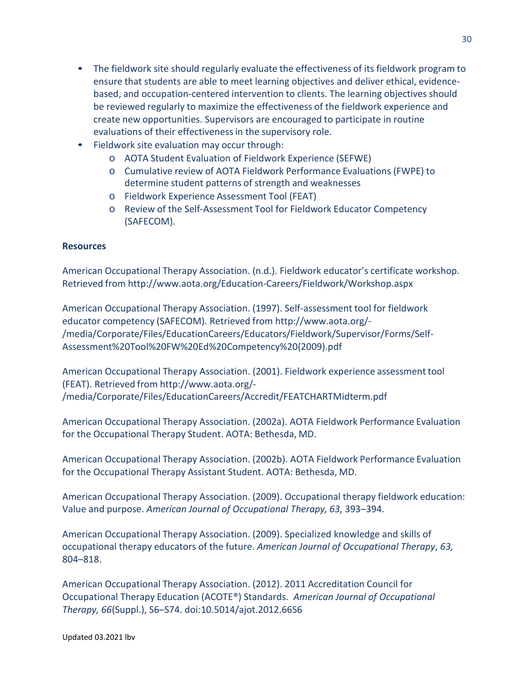- The fieldwork site should regularly evaluate the effectiveness of its fieldwork program to ensure that students are able to meet learning objectives and deliver ethical, evidencebased, and occupation-centered intervention to clients. The learning objectives should be reviewed regularly to maximize the effectiveness of the fieldwork experience and create new opportunities. Supervisors are encouraged to participate in routine evaluations of their effectiveness in the supervisory role.
- Fieldwork site evaluation may occur through:
	- o AOTA Student Evaluation of Fieldwork Experience (SEFWE)
	- o Cumulative review of AOTA Fieldwork Performance Evaluations (FWPE) to determine student patterns of strength and weaknesses
	- o Fieldwork Experience Assessment Tool (FEAT)
	- o Review of the Self-Assessment Tool for Fieldwork Educator Competency (SAFECOM).

# **Resources**

American Occupational Therapy Association. (n.d.). Fieldwork educator's certificate workshop. Retrieved from <http://www.aota.org/Education-Careers/Fieldwork/Workshop.aspx>

American Occupational Therapy Association. (1997). Self-assessment tool for fieldwork educator competency (SAFECOM). Retrieved from <http://www.aota.org/-> /media/Corporate/Files/EducationCareers/Educators/Fieldwork/Supervisor/Forms/Self-Assessment%20Tool%20FW%20Ed%20Competency%20(2009).pdf

American Occupational Therapy Association. (2001). Fieldwork experience assessment tool (FEAT). Retrieved from <http://www.aota.org/-> /media/Corporate/Files/EducationCareers/Accredit/FEATCHARTMidterm.pdf

American Occupational Therapy Association. (2002a). AOTA Fieldwork Performance Evaluation for the Occupational Therapy Student. AOTA: Bethesda, MD.

American Occupational Therapy Association. (2002b). AOTA Fieldwork Performance Evaluation for the Occupational Therapy Assistant Student. AOTA: Bethesda, MD.

American Occupational Therapy Association. (2009). Occupational therapy fieldwork education: Value and purpose. *American Journal of Occupational Therapy, 63,* 393–394.

American Occupational Therapy Association. (2009). Specialized knowledge and skills of occupational therapy educators of the future. *American Journal of Occupational Therapy*, *63,* 804–818.

American Occupational Therapy Association. (2012). 2011 Accreditation Council for Occupational Therapy Education (ACOTE®) Standards. *American Journal of Occupational Therapy, 66*(Suppl.), S6–S74. doi:10.5014/ajot.2012.66S6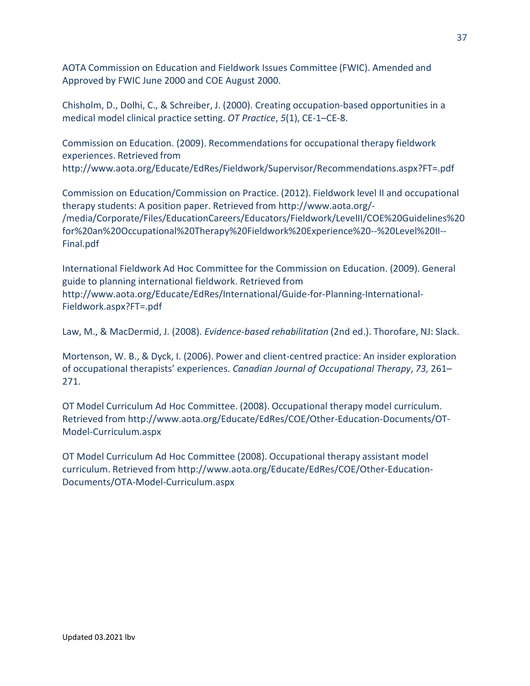AOTA Commission on Education and Fieldwork Issues Committee (FWIC). Amended and Approved by FWIC June 2000 and COE August 2000.

Chisholm, D., Dolhi, C., & Schreiber, J. (2000). Creating occupation-based opportunities in a medical model clinical practice setting. *OT Practice*, *5*(1), CE-1–CE-8.

Commission on Education. (2009). Recommendationsfor occupational therapy fieldwork experiences. Retrieved fro[m](http://www.aota.org/Educate/EdRes/Fieldwork/Supervisor/Recommendations.aspx?FT=.pdf) <http://www.aota.org/Educate/EdRes/Fieldwork/Supervisor/Recommendations.aspx?FT=.pdf>

Commission on Education/Commission on Practice. (2012). Fieldwork level II and occupational therapy students: A position paper. Retrieved from <http://www.aota.org/-> /media/Corporate/Files/EducationCareers/Educators/Fieldwork/LevelII/COE%20Guidelines%20 for%20an%20Occupational%20Therapy%20Fieldwork%20Experience%20--%20Level%20II-- Final.pdf

International Fieldwork Ad Hoc Committee for the Commission on Education. (2009). General guide to planning international fieldwork. Retrieved from <http://www.aota.org/Educate/EdRes/International/Guide-for-Planning-International->Fieldwork.aspx?FT=.pdf

Law, M., & MacDermid, J. (2008). *Evidence-based rehabilitation* (2nd ed.). Thorofare, NJ: Slack.

Mortenson, W. B., & Dyck, I. (2006). Power and client-centred practice: An insider exploration of occupational therapists' experiences. *Canadian Journal of Occupational Therapy*, *73,* 261– 271.

OT Model Curriculum Ad Hoc Committee. (2008). Occupational therapy model curriculum. Retrieved from <http://www.aota.org/Educate/EdRes/COE/Other-Education-Documents/OT->Model-Curriculum.aspx

OT Model Curriculum Ad Hoc Committee (2008). Occupational therapy assistant model curriculum. Retrieved from <http://www.aota.org/Educate/EdRes/COE/Other-Education->Documents/OTA-Model-Curriculum.aspx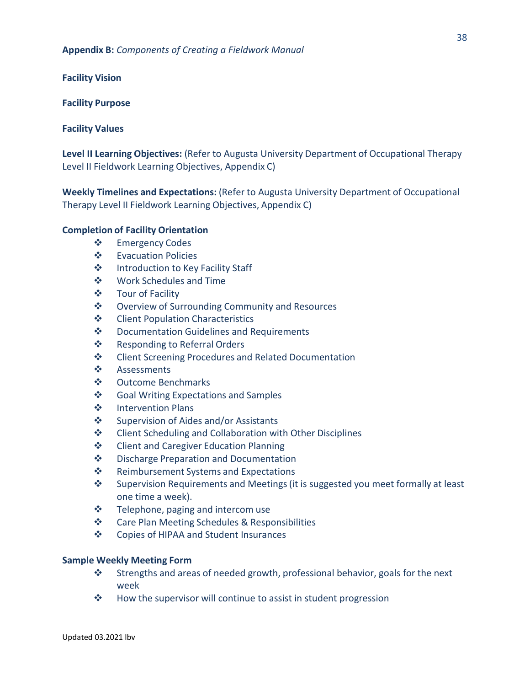**Facility Vision** 

#### **Facility Purpose**

### **Facility Values**

**Level II Learning Objectives:** (Refer to Augusta University Department of Occupational Therapy Level II Fieldwork Learning Objectives, Appendix C)

**Weekly Timelines and Expectations:** (Refer to Augusta University Department of Occupational Therapy Level II Fieldwork Learning Objectives, Appendix C)

### **Completion of Facility Orientation**

- ❖ Emergency Codes
- Evacuation Policies
- ❖ Introduction to Key Facility Staff
- Work Schedules and Time
- ❖ Tour of Facility
- **❖** Overview of Surrounding Community and Resources
- **❖** Client Population Characteristics
- ❖ Documentation Guidelines and Requirements
- ❖ Responding to Referral Orders
- ❖ Client Screening Procedures and Related Documentation
- ❖ Assessments
- Outcome Benchmarks
- ❖ Goal Writing Expectations and Samples
- ❖ Intervention Plans
- ❖ Supervision of Aides and/or Assistants
- **❖** Client Scheduling and Collaboration with Other Disciplines
- ❖ Client and Caregiver Education Planning
- ❖ Discharge Preparation and Documentation
- ❖ Reimbursement Systems and Expectations
- ❖ Supervision Requirements and Meetings (it is suggested you meet formally at least one time a week).
- $\div$  Telephone, paging and intercom use
- Care Plan Meeting Schedules & Responsibilities
- Copies of HIPAA and Student Insurances

#### **Sample Weekly Meeting Form**

- Strengths and areas of needed growth, professional behavior, goals for the next week
- $\mathbf{\hat{P}}$  How the supervisor will continue to assist in student progression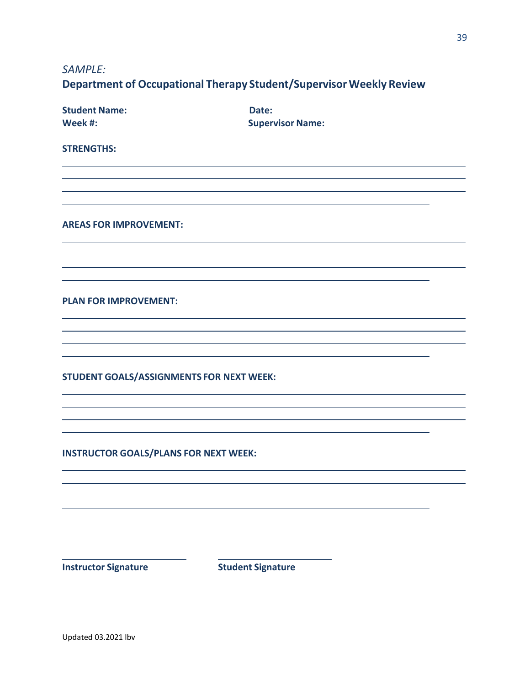*SAMPLE:*

# **Department of Occupational Therapy Student/Supervisor Weekly Review**

| <b>Student Name:</b><br>Week #:              | Date:<br><b>Supervisor Name:</b> |  |
|----------------------------------------------|----------------------------------|--|
| <b>STRENGTHS:</b>                            |                                  |  |
|                                              |                                  |  |
|                                              |                                  |  |
|                                              |                                  |  |
| <b>AREAS FOR IMPROVEMENT:</b>                |                                  |  |
|                                              |                                  |  |
|                                              |                                  |  |
|                                              |                                  |  |
| <b>PLAN FOR IMPROVEMENT:</b>                 |                                  |  |
|                                              |                                  |  |
|                                              |                                  |  |
|                                              |                                  |  |
| STUDENT GOALS/ASSIGNMENTS FOR NEXT WEEK:     |                                  |  |
|                                              |                                  |  |
|                                              |                                  |  |
|                                              |                                  |  |
| <b>INSTRUCTOR GOALS/PLANS FOR NEXT WEEK:</b> |                                  |  |
|                                              |                                  |  |
|                                              |                                  |  |
|                                              |                                  |  |
|                                              |                                  |  |
|                                              |                                  |  |

**Instructor Signature Student Signature**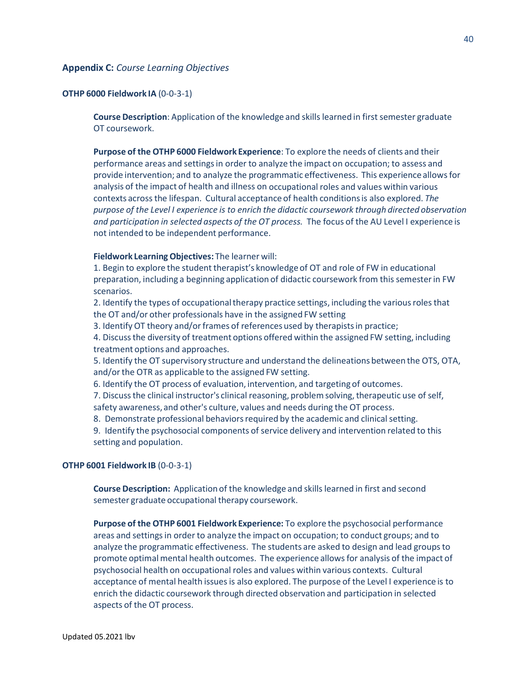#### **Appendix C:** *Course Learning Objectives*

#### **OTHP 6000 Fieldwork IA** (0-0-3-1)

**Course Description**: Application of the knowledge and skills learned in first semester graduate OT coursework.

**Purpose of the OTHP 6000 Fieldwork Experience**: To explore the needs of clients and their performance areas and settingsin order to analyze the impact on occupation; to assess and provide intervention; and to analyze the programmatic effectiveness. This experience allowsfor analysis of the impact of health and illness on occupational roles and values within various contexts acrossthe lifespan. Cultural acceptance of health conditionsis also explored. *The purpose of the Level I experience is to enrich the didactic coursework through directed observation and participation in selected aspects of the OT process.* The focus of the AU Level I experience is not intended to be independent performance.

#### **Fieldwork LearningObjectives:** The learner will:

1. Begin to explore the student therapist's knowledge of OT and role of FW in educational preparation, including a beginning application of didactic coursework from this semesterin FW scenarios.

2. Identify the types of occupationaltherapy practice settings, including the variousrolesthat the OT and/or other professionals have in the assigned FW setting

3. Identify OT theory and/or frames of references used by therapists in practice;

4. Discussthe diversity of treatment options offered within the assigned FW setting, including treatment options and approaches.

5. Identify the OT supervisory structure and understand the delineations between the OTS, OTA, and/orthe OTR as applicable to the assigned FW setting.

6. Identify the OT process of evaluation, intervention, and targeting of outcomes.

7. Discuss the clinical instructor's clinical reasoning, problem solving, therapeutic use of self, safety awareness, and other's culture, values and needs during the OT process.

8. Demonstrate professional behaviors required by the academic and clinical setting.

9. Identify the psychosocial components of service delivery and intervention related to this setting and population.

#### **OTHP 6001 Fieldwork IB** (0-0-3-1)

**Course Description:** Applicationof the knowledge and skills learned in first and second semester graduate occupational therapy coursework.

**Purpose of the OTHP 6001 Fieldwork Experience:** To explore the psychosocial performance areas and settingsin order to analyze the impact on occupation; to conduct groups; and to analyze the programmatic effectiveness. The students are asked to design and lead groupsto promote optimal mental health outcomes. The experience allowsfor analysis of the impact of psychosocial health on occupational roles and values within various contexts. Cultural acceptance of mental health issues is also explored. The purpose of the Level I experience is to enrich the didactic coursework through directed observation and participation in selected aspects of the OT process.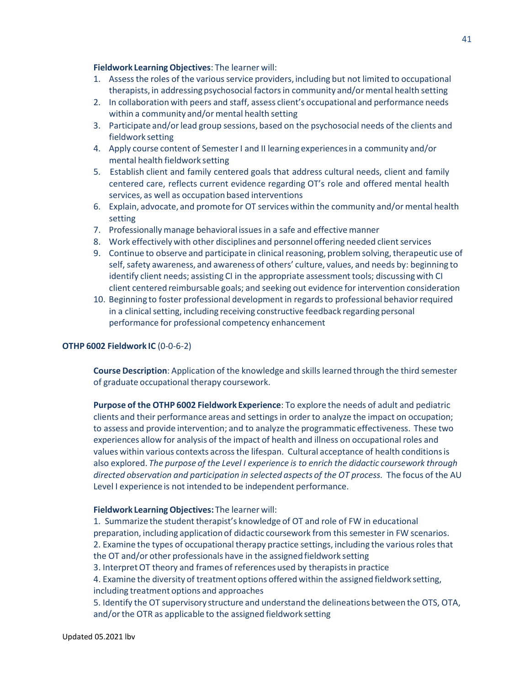#### **Fieldwork LearningObjectives**: The learner will:

- 1. Assess the roles of the various service providers, including but not limited to occupational therapists, in addressing psychosocial factors in community and/or mental health setting
- 2. In collaboration with peers and staff, assess client's occupational and performance needs within a community and/or mental health setting
- 3. Participate and/orlead group sessions, based on the psychosocial needs of the clients and fieldwork setting
- 4. Apply course content of SemesterI and II learning experiencesin a community and/or mental health fieldwork setting
- 5. Establish client and family centered goals that address cultural needs, client and family centered care, reflects current evidence regarding OT's role and offered mental health services, as well as occupation based interventions
- 6. Explain, advocate, and promote for OT services within the community and/or mental health setting
- 7. Professionally manage behavioral issuesin a safe and effective manner
- 8. Work effectively with other disciplines and personnel offering needed client services
- 9. Continue to observe and participate in clinical reasoning, problem solving, therapeutic use of self, safety awareness, and awareness of others' culture, values, and needs by: beginning to identify client needs; assisting CI in the appropriate assessment tools; discussingwith CI client centered reimbursable goals; and seeking out evidence for intervention consideration
- 10. Beginning to foster professional development in regardsto professional behaviorrequired in a clinical setting, including receiving constructive feedback regarding personal performance for professional competency enhancement

#### **OTHP 6002 Fieldwork IC** (0-0-6-2)

**Course Description**: Application of the knowledge and skills learned through the third semester of graduate occupational therapy coursework.

**Purpose of the OTHP 6002 Fieldwork Experience**: To explore the needs of adult and pediatric clients and their performance areas and settingsin order to analyze the impact on occupation; to assess and provide intervention; and to analyze the programmatic effectiveness. These two experiences allow for analysis of the impact of health and illness on occupational roles and values within various contexts acrossthe lifespan. Cultural acceptance of health conditionsis also explored. *The purpose of the Level I experience is to enrich the didactic coursework through directed observation and participation in selected aspects of the OT process.* The focus of the AU Level I experience is not intended to be independent performance.

#### **Fieldwork LearningObjectives:** The learner will:

1. Summarize the student therapist's knowledge of OT and role of FW in educational preparation, including applicationof didactic coursework from this semesterin FW scenarios. 2. Examine the types of occupational therapy practice settings, including the various roles that the OT and/or other professionals have in the assigned fieldwork setting 3. InterpretOT theory and frames of references used by therapistsin practice 4. Examine the diversity of treatment options offered within the assigned fieldwork setting, including treatment options and approaches 5. Identify the OT supervisory structure and understand the delineations between the OTS, OTA, and/or the OTR as applicable to the assigned fieldwork setting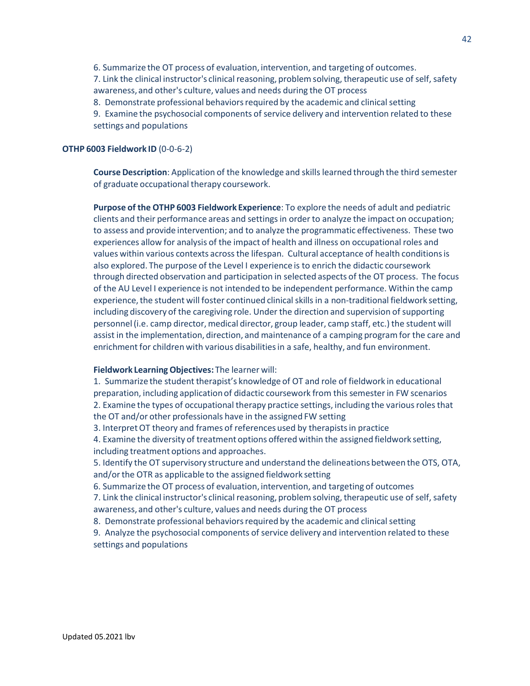6. Summarize the OT process of evaluation, intervention, and targeting of outcomes. 7. Link the clinical instructor's clinical reasoning, problem solving, therapeutic use of self, safety awareness, and other's culture, values and needs during the OT process

8. Demonstrate professional behaviors required by the academic and clinical setting

9. Examine the psychosocial components of service delivery and intervention related to these settings and populations

#### **OTHP 6003 Fieldwork ID** (0-0-6-2)

**Course Description**: Application of the knowledge and skills learned through the third semester of graduate occupational therapy coursework.

**Purpose of the OTHP 6003 Fieldwork Experience**: To explore the needs of adult and pediatric clients and their performance areas and settingsin order to analyze the impact on occupation; to assess and provide intervention; and to analyze the programmatic effectiveness. These two experiences allow for analysis of the impact of health and illness on occupational roles and values within various contexts acrossthe lifespan. Cultural acceptance of health conditionsis also explored. The purpose of the Level I experience is to enrich the didactic coursework through directed observation and participation in selected aspects of the OT process. The focus of the AU Level I experience is not intended to be independent performance. Within the camp experience, the student will foster continued clinical skills in a non-traditional fieldwork setting, including discovery of the caregiving role. Under the direction and supervision of supporting personnel (i.e. camp director, medical director, group leader, camp staff, etc.) the student will assist in the implementation, direction, and maintenance of a camping programfor the care and enrichment for children with various disabilitiesin a safe, healthy, and fun environment.

#### **Fieldwork LearningObjectives:** The learner will:

1. Summarize the student therapist's knowledge of OT and role of fieldwork in educational preparation, including applicationof didactic coursework from this semesterin FW scenarios 2. Examine the types of occupational therapy practice settings, including the various roles that the OT and/or other professionals have in the assigned FW setting

3. InterpretOT theory and frames of references used by therapistsin practice

4. Examine the diversity of treatment options offered within the assigned fieldwork setting, including treatment options and approaches.

5. Identify the OT supervisory structure and understand the delineations between the OTS, OTA, and/or the OTR as applicable to the assigned fieldwork setting

6. Summarize the OT process of evaluation, intervention, and targeting of outcomes

7. Link the clinical instructor's clinical reasoning, problem solving, therapeutic use of self, safety awareness, and other's culture, values and needs during the OT process

8. Demonstrate professional behaviors required by the academic and clinical setting

9. Analyze the psychosocial components of service delivery and intervention related to these settings and populations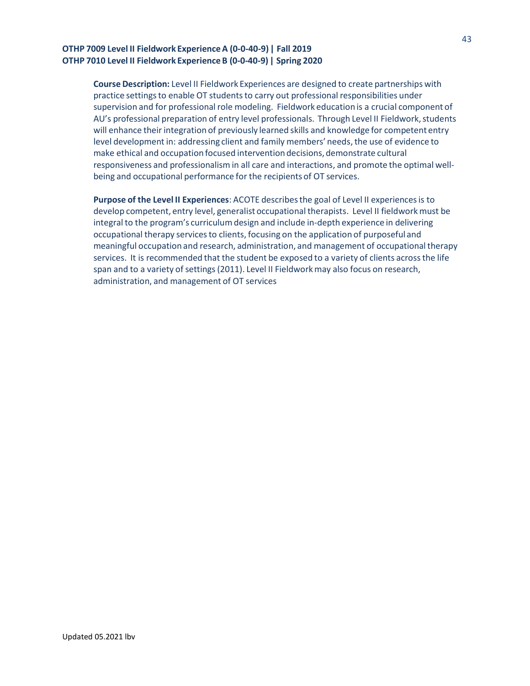### **OTHP 7009 Level II Fieldwork ExperienceA (0-0-40-9) | Fall 2019 OTHP 7010 Level II Fieldwork ExperienceB (0-0-40-9) | Spring 2020**

**Course Description:** Level II Fieldwork Experiences are designed to create partnerships with practice settingsto enable OT studentsto carry out professional responsibilities under supervision and for professional role modeling. Fieldwork education is a crucial component of AU's professional preparation of entry level professionals. Through Level II Fieldwork, students will enhance their integration of previously learned skills and knowledge for competent entry level development in: addressing client and family members' needs, the use of evidence to make ethical and occupation focused interventiondecisions, demonstrate cultural responsiveness and professionalismin all care and interactions, and promote the optimal wellbeing and occupational performance for the recipientsof OT services.

**Purpose of the Level II Experiences**: ACOTE describesthe goal of Level II experiencesis to develop competent, entry level, generalist occupational therapists. Level II fieldwork must be integral to the program's curriculumdesign and include in-depth experience in delivering occupational therapy servicesto clients, focusing on the application of purposeful and meaningful occupation and research, administration, and management of occupational therapy services. It is recommended that the student be exposed to a variety of clients acrossthe life span and to a variety of settings (2011). Level II Fieldwork may also focus on research, administration, and management of OT services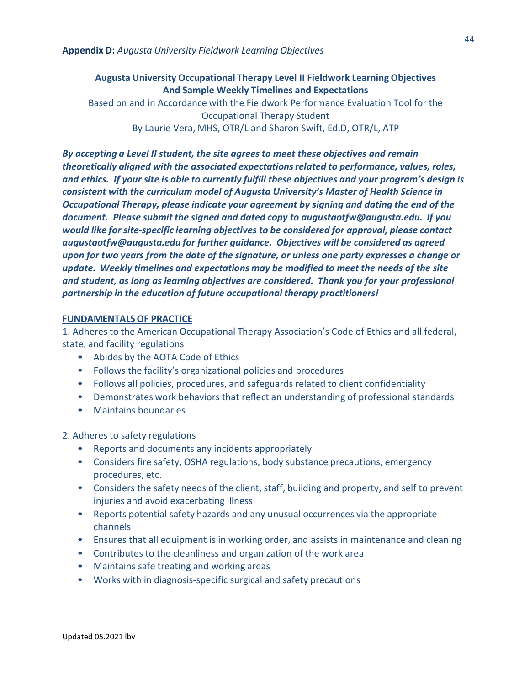# **Augusta University Occupational Therapy Level II Fieldwork Learning Objectives And Sample Weekly Timelines and Expectations**

Based on and in Accordance with the Fieldwork Performance Evaluation Tool for the Occupational Therapy Student By Laurie Vera, MHS, OTR/L and Sharon Swift, Ed.D, OTR/L, ATP

*By accepting a Level II student, the site agrees to meet these objectives and remain theoretically aligned with the associated expectationsrelated to performance, values, roles, and ethics. If your site is able to currently fulfill these objectives and your program's design is consistent with the curriculum model of Augusta University's Master of Health Science in Occupational Therapy, please indicate your agreement by signing and dating the end of the document. Please submit the signed and dated copy to [augustaotfw@](mailto:augustaotfw@augusta.edu)augusta.edu. If you would like for site-specific learning objectives to be considered for approval, please contac[t](mailto:augustaotfw@augusta.edu) [augustaotfw@augusta.edu](mailto:augustaotfw@augusta.edu) for further guidance. Objectives will be considered as agreed upon for two years from the date of the signature, or unless one party expresses a change or update. Weekly timelines and expectations may be modified to meet the needs of the site and student, as long as learning objectives are considered. Thank you for your professional partnership in the education of future occupational therapy practitioners!*

# **FUNDAMENTALS OF PRACTICE**

1. Adheresto the American Occupational Therapy Association's Code of Ethics and all federal, state, and facility regulations

- Abides by the AOTA Code of Ethics
- Follows the facility's organizational policies and procedures
- Follows all policies, procedures, and safeguards related to client confidentiality
- Demonstrates work behaviors that reflect an understanding of professional standards
- Maintains boundaries

2. Adheres to safety regulations

- Reports and documents any incidents appropriately
- Considers fire safety, OSHA regulations, body substance precautions, emergency procedures, etc.
- Considers the safety needs of the client, staff, building and property, and self to prevent injuries and avoid exacerbating illness
- Reports potential safety hazards and any unusual occurrences via the appropriate channels
- Ensures that all equipment is in working order, and assists in maintenance and cleaning
- Contributes to the cleanliness and organization of the work area
- Maintains safe treating and working areas
- Works with in diagnosis-specific surgical and safety precautions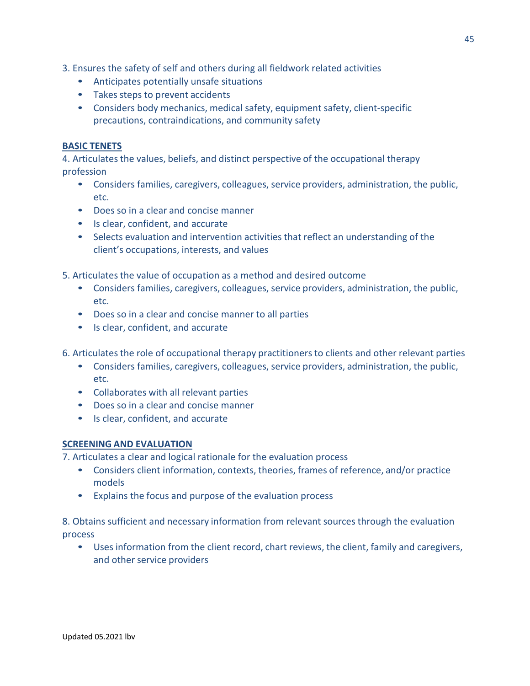- 3. Ensures the safety of self and others during all fieldwork related activities
	- Anticipates potentially unsafe situations
	- Takes steps to prevent accidents
	- Considers body mechanics, medical safety, equipment safety, client-specific precautions, contraindications, and community safety

# **BASIC TENETS**

4. Articulates the values, beliefs, and distinct perspective of the occupational therapy profession

- Considers families, caregivers, colleagues, service providers, administration, the public, etc.
- Does so in a clear and concise manner
- Is clear, confident, and accurate
- Selects evaluation and intervention activities that reflect an understanding of the client's occupations, interests, and values
- 5. Articulates the value of occupation as a method and desired outcome
	- Considers families, caregivers, colleagues, service providers, administration, the public, etc.
	- Does so in a clear and concise manner to all parties
	- Is clear, confident, and accurate
- 6. Articulates the role of occupational therapy practitioners to clients and other relevant parties
	- Considers families, caregivers, colleagues, service providers, administration, the public, etc.
	- Collaborates with all relevant parties
	- Does so in a clear and concise manner
	- Is clear, confident, and accurate

# **SCREENING AND EVALUATION**

7. Articulates a clear and logical rationale for the evaluation process

- Considers client information, contexts, theories, frames of reference, and/or practice models
- Explains the focus and purpose of the evaluation process

8. Obtains sufficient and necessary information from relevant sources through the evaluation process

• Uses information from the client record, chart reviews, the client, family and caregivers, and other service providers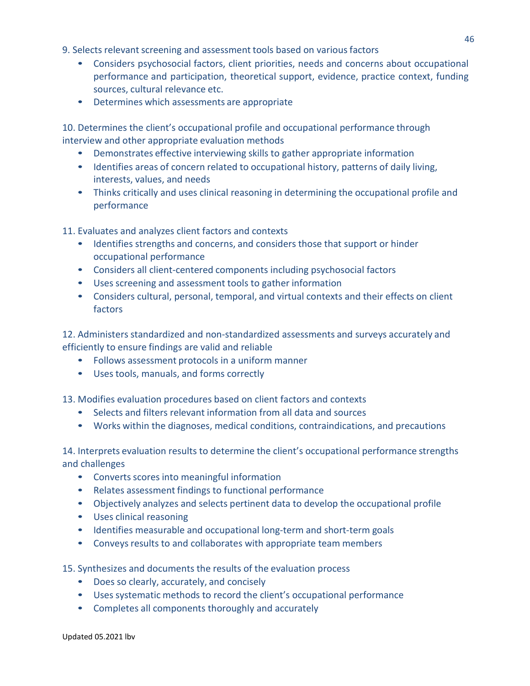9. Selects relevant screening and assessment tools based on various factors

- Considers psychosocial factors, client priorities, needs and concerns about occupational performance and participation, theoretical support, evidence, practice context, funding sources, cultural relevance etc.
- Determines which assessments are appropriate

10. Determines the client's occupational profile and occupational performance through interview and other appropriate evaluation methods

- Demonstrates effective interviewing skills to gather appropriate information
- Identifies areas of concern related to occupational history, patterns of daily living, interests, values, and needs
- Thinks critically and uses clinical reasoning in determining the occupational profile and performance

11. Evaluates and analyzes client factors and contexts

- Identifies strengths and concerns, and considers those that support or hinder occupational performance
- Considers all client-centered components including psychosocial factors
- Uses screening and assessment tools to gather information
- Considers cultural, personal, temporal, and virtual contexts and their effects on client factors

12. Administers standardized and non-standardized assessments and surveys accurately and efficiently to ensure findings are valid and reliable

- Follows assessment protocols in a uniform manner
- Uses tools, manuals, and forms correctly

13. Modifies evaluation procedures based on client factors and contexts

- Selects and filters relevant information from all data and sources
- Works within the diagnoses, medical conditions, contraindications, and precautions

14. Interprets evaluation results to determine the client's occupational performance strengths and challenges

- Converts scores into meaningful information
- Relates assessment findings to functional performance
- Objectively analyzes and selects pertinent data to develop the occupational profile
- Uses clinical reasoning
- Identifies measurable and occupational long-term and short-term goals
- Conveys results to and collaborates with appropriate team members

15. Synthesizes and documents the results of the evaluation process

- Does so clearly, accurately, and concisely
- Uses systematic methods to record the client's occupational performance
- Completes all components thoroughly and accurately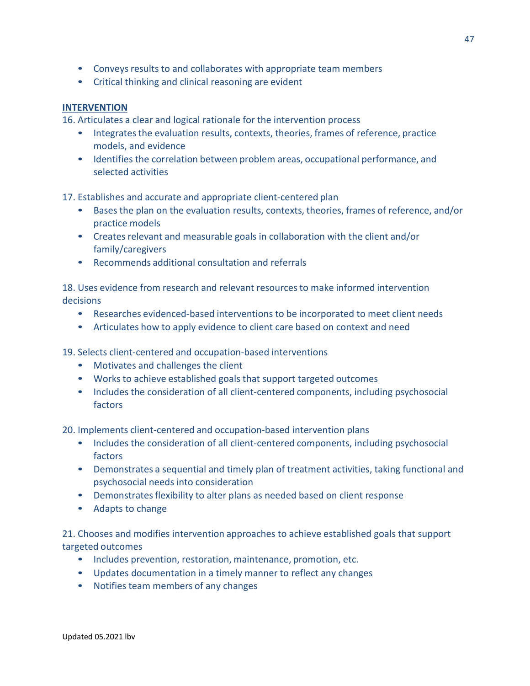- Conveys results to and collaborates with appropriate team members
- Critical thinking and clinical reasoning are evident

# **INTERVENTION**

16. Articulates a clear and logical rationale for the intervention process

- Integrates the evaluation results, contexts, theories, frames of reference, practice models, and evidence
- Identifies the correlation between problem areas, occupational performance, and selected activities

17. Establishes and accurate and appropriate client-centered plan

- Bases the plan on the evaluation results, contexts, theories, frames of reference, and/or practice models
- Creates relevant and measurable goals in collaboration with the client and/or family/caregivers
- Recommends additional consultation and referrals

18. Uses evidence from research and relevant resourcesto make informed intervention decisions

- Researches evidenced-based interventions to be incorporated to meet client needs
- Articulates how to apply evidence to client care based on context and need

19. Selects client-centered and occupation-based interventions

- Motivates and challenges the client
- Works to achieve established goals that support targeted outcomes
- Includes the consideration of all client-centered components, including psychosocial factors

20. Implements client-centered and occupation-based intervention plans

- Includes the consideration of all client-centered components, including psychosocial factors
- Demonstrates a sequential and timely plan of treatment activities, taking functional and psychosocial needs into consideration
- Demonstrates flexibility to alter plans as needed based on client response
- Adapts to change

21. Chooses and modifies intervention approaches to achieve established goals that support targeted outcomes

- Includes prevention, restoration, maintenance, promotion, etc.
- Updates documentation in a timely manner to reflect any changes
- Notifies team members of any changes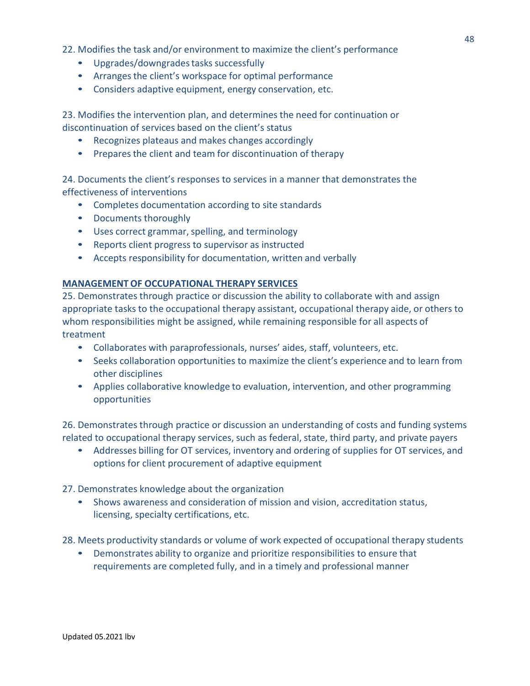22. Modifies the task and/or environment to maximize the client's performance

- Upgrades/downgrades tasks successfully
- Arranges the client's workspace for optimal performance
- Considers adaptive equipment, energy conservation, etc.

23. Modifies the intervention plan, and determines the need for continuation or discontinuation of services based on the client's status

- Recognizes plateaus and makes changes accordingly
- Prepares the client and team for discontinuation of therapy

24. Documents the client's responses to services in a manner that demonstrates the effectiveness of interventions

- Completes documentation according to site standards
- Documents thoroughly
- Uses correct grammar, spelling, and terminology
- Reports client progress to supervisor as instructed
- Accepts responsibility for documentation, written and verbally

### **MANAGEMENTOF OCCUPATIONAL THERAPY SERVICES**

25. Demonstrates through practice or discussion the ability to collaborate with and assign appropriate tasks to the occupational therapy assistant, occupational therapy aide, or others to whom responsibilities might be assigned, while remaining responsible for all aspects of treatment

- Collaborates with paraprofessionals, nurses' aides, staff, volunteers, etc.
- Seeks collaboration opportunities to maximize the client's experience and to learn from other disciplines
- Applies collaborative knowledge to evaluation, intervention, and other programming opportunities

26. Demonstrates through practice or discussion an understanding of costs and funding systems related to occupational therapy services, such as federal, state, third party, and private payers

- Addresses billing for OT services, inventory and ordering of supplies for OT services, and options for client procurement of adaptive equipment
- 27. Demonstrates knowledge about the organization
	- Shows awareness and consideration of mission and vision, accreditation status, licensing, specialty certifications, etc.

28. Meets productivity standards or volume of work expected of occupational therapy students

• Demonstrates ability to organize and prioritize responsibilities to ensure that requirements are completed fully, and in a timely and professional manner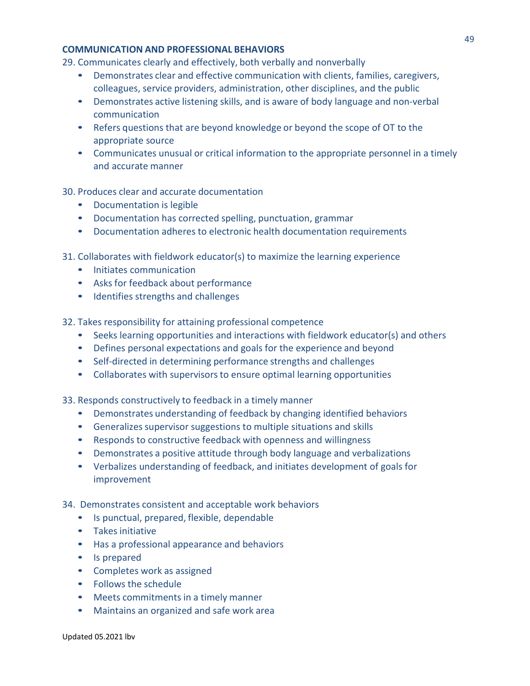### **COMMUNICATION AND PROFESSIONAL BEHAVIORS**

29. Communicates clearly and effectively, both verbally and nonverbally

- Demonstrates clear and effective communication with clients, families, caregivers, colleagues, service providers, administration, other disciplines, and the public
- Demonstrates active listening skills, and is aware of body language and non-verbal communication
- Refers questions that are beyond knowledge or beyond the scope of OT to the appropriate source
- Communicates unusual or critical information to the appropriate personnel in a timely and accurate manner

# 30. Produces clear and accurate documentation

- Documentation is legible
- Documentation has corrected spelling, punctuation, grammar
- Documentation adheres to electronic health documentation requirements
- 31. Collaborates with fieldwork educator(s) to maximize the learning experience
	- Initiates communication
	- Asks for feedback about performance
	- Identifies strengths and challenges

32. Takes responsibility for attaining professional competence

- Seeks learning opportunities and interactions with fieldwork educator(s) and others
- Defines personal expectations and goals for the experience and beyond
- Self-directed in determining performance strengths and challenges
- Collaborates with supervisors to ensure optimal learning opportunities

33. Responds constructively to feedback in a timely manner

- Demonstrates understanding of feedback by changing identified behaviors
- Generalizes supervisor suggestions to multiple situations and skills
- Responds to constructive feedback with openness and willingness
- Demonstrates a positive attitude through body language and verbalizations
- Verbalizes understanding of feedback, and initiates development of goals for improvement

34. Demonstrates consistent and acceptable work behaviors

- Is punctual, prepared, flexible, dependable
- Takes initiative
- Has a professional appearance and behaviors
- Is prepared
- Completes work as assigned
- Follows the schedule
- Meets commitments in a timely manner
- Maintains an organized and safe work area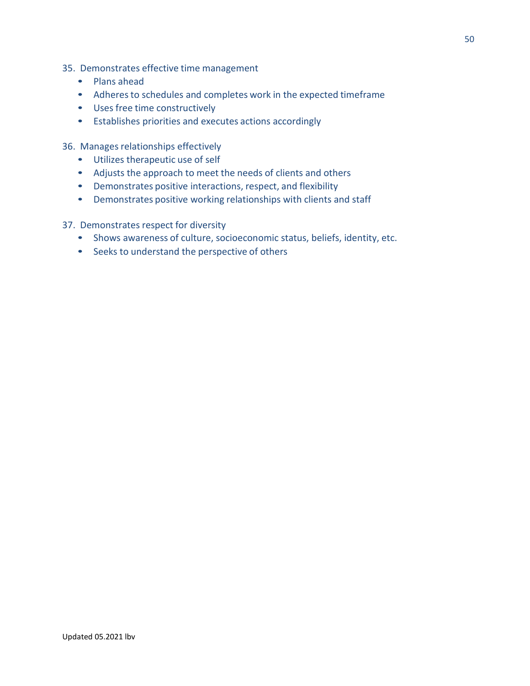- 35. Demonstrates effective time management
	- Plans ahead
	- Adheres to schedules and completes work in the expected timeframe
	- Uses free time constructively
	- Establishes priorities and executes actions accordingly
- 36. Manages relationships effectively
	- Utilizes therapeutic use of self
	- Adjusts the approach to meet the needs of clients and others
	- Demonstrates positive interactions, respect, and flexibility
	- Demonstrates positive working relationships with clients and staff
- 37. Demonstrates respect for diversity
	- Shows awareness of culture, socioeconomic status, beliefs, identity, etc.
	- Seeks to understand the perspective of others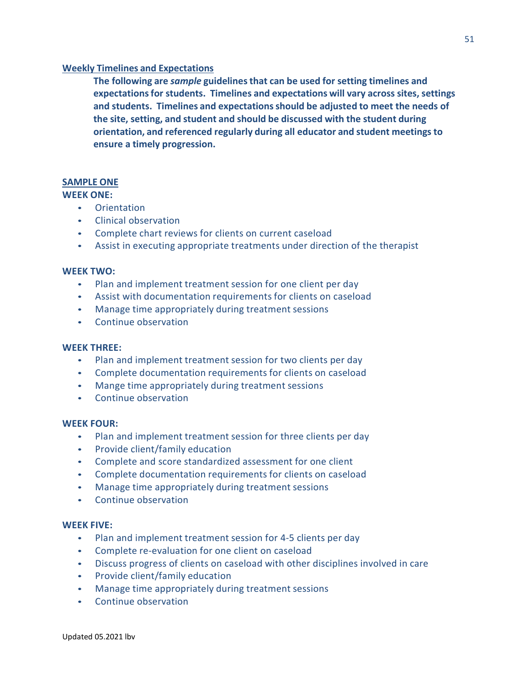### **Weekly Timelines and Expectations**

**The following are** *sample* **guidelinesthat can be used for setting timelines and expectationsfor students. Timelines and expectations will vary across sites, settings and students. Timelines and expectationsshould be adjusted to meet the needs of the site, setting, and student and should be discussed with the student during orientation, and referenced regularly during all educator and student meetings to ensure a timely progression.**

# **SAMPLE ONE**

### **WEEK ONE:**

- Orientation
- Clinical observation
- Complete chart reviews for clients on current caseload
- Assist in executing appropriate treatments under direction of the therapist

# **WEEK TWO:**

- Plan and implement treatment session for one client per day
- Assist with documentation requirements for clients on caseload
- Manage time appropriately during treatment sessions
- Continue observation

### **WEEK THREE:**

- Plan and implement treatment session for two clients per day
- Complete documentation requirements for clients on caseload
- Mange time appropriately during treatment sessions
- Continue observation

### **WEEK FOUR:**

- Plan and implement treatment session for three clients per day
- Provide client/family education
- Complete and score standardized assessment for one client
- Complete documentation requirements for clients on caseload
- Manage time appropriately during treatment sessions
- Continue observation

### **WEEK FIVE:**

- Plan and implement treatment session for 4-5 clients per day
- Complete re-evaluation for one client on caseload
- Discuss progress of clients on caseload with other disciplines involved in care
- Provide client/family education
- Manage time appropriately during treatment sessions
- Continue observation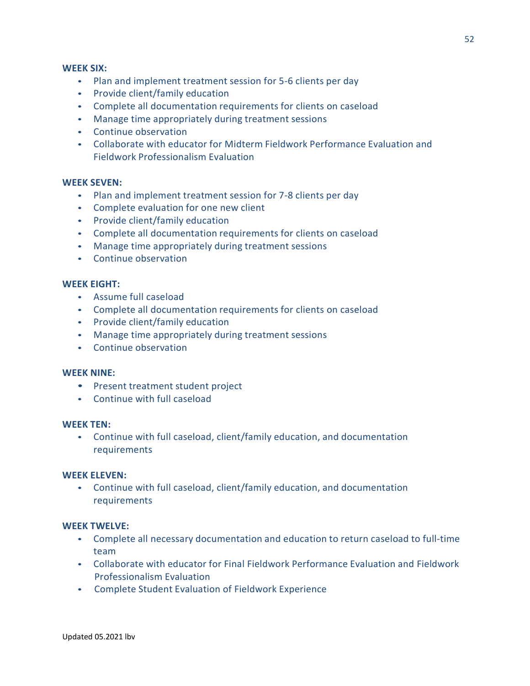### **WEEK SIX:**

- Plan and implement treatment session for 5-6 clients per day
- Provide client/family education
- Complete all documentation requirements for clients on caseload
- Manage time appropriately during treatment sessions
- Continue observation
- Collaborate with educator for Midterm Fieldwork Performance Evaluation and Fieldwork Professionalism Evaluation

### **WEEK SEVEN:**

- Plan and implement treatment session for 7-8 clients per day
- Complete evaluation for one new client
- Provide client/family education
- Complete all documentation requirements for clients on caseload
- Manage time appropriately during treatment sessions
- Continue observation

### **WEEK EIGHT:**

- Assume full caseload
- Complete all documentation requirements for clients on caseload
- Provide client/family education
- Manage time appropriately during treatment sessions
- Continue observation

#### **WEEK NINE:**

- Present treatment student project
- Continue with full caseload

### **WEEK TEN:**

• Continue with full caseload, client/family education, and documentation requirements

#### **WEEK ELEVEN:**

• Continue with full caseload, client/family education, and documentation requirements

### **WEEK TWELVE:**

- Complete all necessary documentation and education to return caseload to full-time team
- Collaborate with educator for Final Fieldwork Performance Evaluation and Fieldwork Professionalism Evaluation
- Complete Student Evaluation of Fieldwork Experience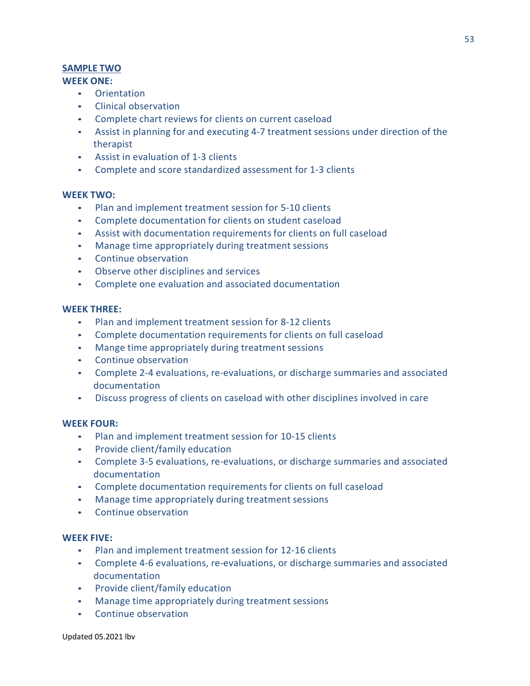# **SAMPLE TWO**

# **WEEK ONE:**

- Orientation
- Clinical observation
- Complete chart reviews for clients on current caseload
- Assist in planning for and executing 4-7 treatment sessions under direction of the therapist
- Assist in evaluation of 1-3 clients
- Complete and score standardized assessment for 1-3 clients

# **WEEK TWO:**

- Plan and implement treatment session for 5-10 clients
- Complete documentation for clients on student caseload
- Assist with documentation requirements for clients on full caseload
- Manage time appropriately during treatment sessions
- Continue observation
- Observe other disciplines and services
- Complete one evaluation and associated documentation

# **WEEK THREE:**

- Plan and implement treatment session for 8-12 clients
- Complete documentation requirements for clients on full caseload
- Mange time appropriately during treatment sessions
- Continue observation
- Complete 2-4 evaluations, re-evaluations, or discharge summaries and associated documentation
- Discuss progress of clients on caseload with other disciplines involved in care

### **WEEK FOUR:**

- Plan and implement treatment session for 10-15 clients
- Provide client/family education
- Complete 3-5 evaluations, re-evaluations, or discharge summaries and associated documentation
- Complete documentation requirements for clients on full caseload
- Manage time appropriately during treatment sessions
- Continue observation

# **WEEK FIVE:**

- Plan and implement treatment session for 12-16 clients
- Complete 4-6 evaluations, re-evaluations, or discharge summaries and associated documentation
- Provide client/family education
- Manage time appropriately during treatment sessions
- Continue observation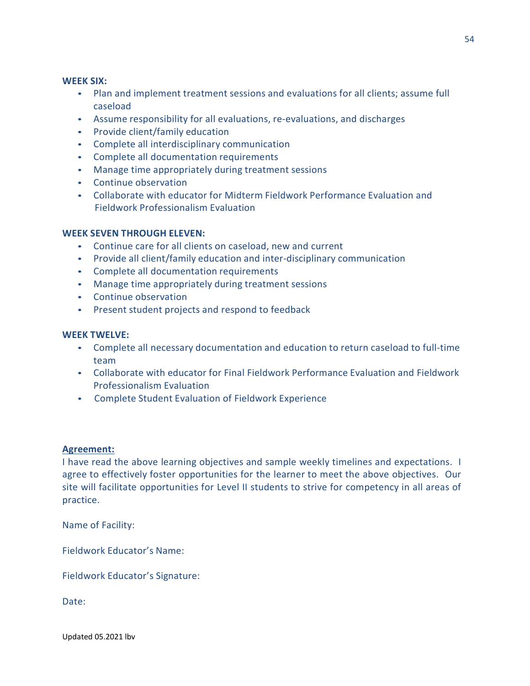### **WEEK SIX:**

- Plan and implement treatment sessions and evaluations for all clients; assume full caseload
- Assume responsibility for all evaluations, re-evaluations, and discharges
- Provide client/family education
- Complete all interdisciplinary communication
- Complete all documentation requirements
- Manage time appropriately during treatment sessions
- Continue observation
- Collaborate with educator for Midterm Fieldwork Performance Evaluation and Fieldwork Professionalism Evaluation

# **WEEK SEVEN THROUGH ELEVEN:**

- Continue care for all clients on caseload, new and current
- Provide all client/family education and inter-disciplinary communication
- Complete all documentation requirements
- Manage time appropriately during treatment sessions
- Continue observation
- Present student projects and respond to feedback

### **WEEK TWELVE:**

- Complete all necessary documentation and education to return caseload to full-time team
- Collaborate with educator for Final Fieldwork Performance Evaluation and Fieldwork Professionalism Evaluation
- Complete Student Evaluation of Fieldwork Experience

### **Agreement:**

I have read the above learning objectives and sample weekly timelines and expectations. I agree to effectively foster opportunities for the learner to meet the above objectives. Our site will facilitate opportunities for Level II students to strive for competency in all areas of practice.

Name of Facility:

Fieldwork Educator's Name:

Fieldwork Educator's Signature:

Date: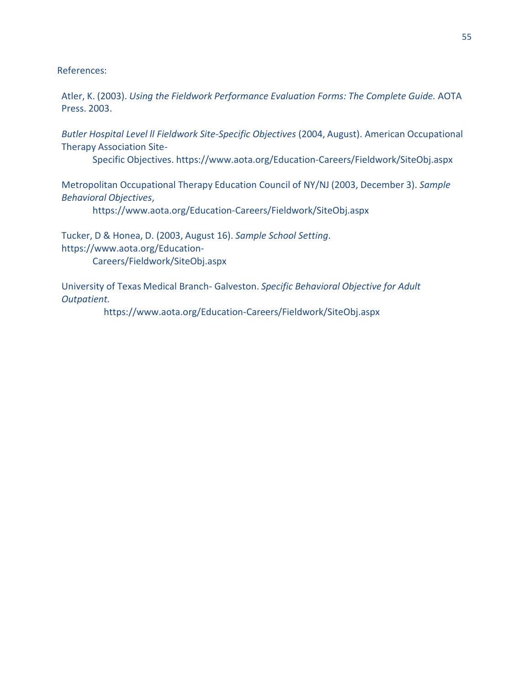References:

Atler, K. (2003). *Using the Fieldwork Performance Evaluation Forms: The Complete Guide.* AOTA Press. 2003.

*Butler Hospital Level ll Fieldwork Site-Specific Objectives* (2004, August). American Occupational Therapy Association Site-

Specific [Objectives. https://www.aota.org/Education-Careers/Fieldwork/SiteObj.aspx](http://www.aota.org/Education-Careers/Fieldwork/SiteObj.aspx)

Metropolitan Occupational Therapy Education Council of NY/NJ (2003, December 3). *Sample Behavioral Objectives*,

[https://www.aota.org/Education-Careers/Fieldwork/SiteObj.aspx](http://www.aota.org/Education-Careers/Fieldwork/SiteObj.aspx)

Tucker, D & Honea, D. (2003, August 16). *Sample School Setting*[.](http://www.aota.org/Education-) [https://www.aota.org/Education-](http://www.aota.org/Education-)Careers/Fieldwork/SiteObj.aspx

University of Texas Medical Branch- Galveston. *Specific Behavioral Objective for Adult Outpatient.*

h[ttps://www.aota.org/E](http://www.aota.org/Ed)[ducation-Careers/Fieldwork/SiteObj.aspx](http://www.aota.org/Education-Careers/Fieldwork/SiteObj.aspx)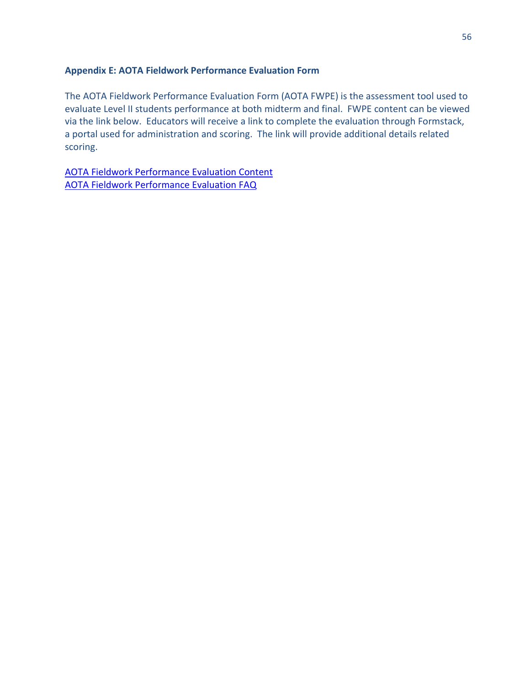# **Appendix E: AOTA Fieldwork Performance Evaluation Form**

The AOTA Fieldwork Performance Evaluation Form (AOTA FWPE) is the assessment tool used to evaluate Level II students performance at both midterm and final. FWPE content can be viewed via the link below. Educators will receive a link to complete the evaluation through Formstack, a portal used for administration and scoring. The link will provide additional details related scoring.

[AOTA Fieldwork Performance Evaluation Content](https://www.aota.org/-/media/Corporate/Files/EducationCareers/Fieldwork/Fieldwork-Performance-Evaluation-Occupational-Therapy-Student.pdf?fbclid=IwAR0XD5ZacOQdKiDP_6xKntkn_Iwi6biOxUAZScEtx9HDf-XHxpII_-bGmIM) [AOTA Fieldwork Performance Evaluation FAQ](https://www.aota.org/Education-Careers/Fieldwork/performance-evaluations/faq.aspx)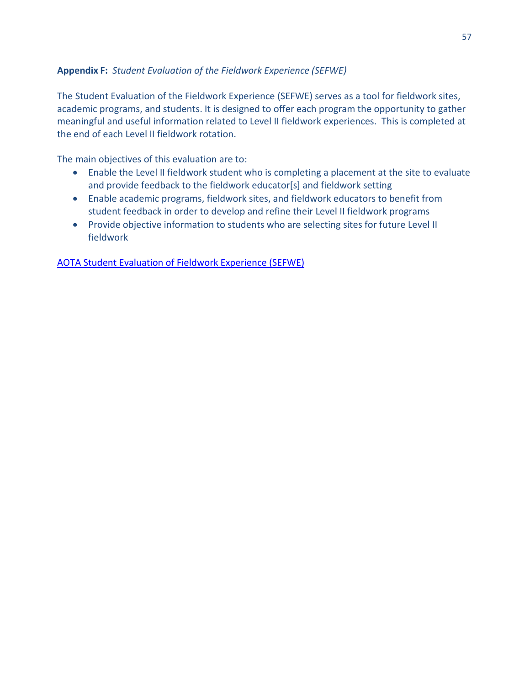# **Appendix F:** *Student Evaluation of the Fieldwork Experience (SEFWE)*

The Student Evaluation of the Fieldwork Experience (SEFWE) serves as a tool for fieldwork sites, academic programs, and students. It is designed to offer each program the opportunity to gather meaningful and useful information related to Level II fieldwork experiences. This is completed at the end of each Level II fieldwork rotation.

The main objectives of this evaluation are to:

- Enable the Level II fieldwork student who is completing a placement at the site to evaluate and provide feedback to the fieldwork educator[s] and fieldwork setting
- Enable academic programs, fieldwork sites, and fieldwork educators to benefit from student feedback in order to develop and refine their Level II fieldwork programs
- Provide objective information to students who are selecting sites for future Level II fieldwork

[AOTA Student Evaluation of Fieldwork Experience \(SEFWE\)](https://www.aota.org/-/media/Corporate/Files/EducationCareers/Educators/Fieldwork/StuSuprvsn/Student-Evaluation-Fieldwork-Experience-2016.docx)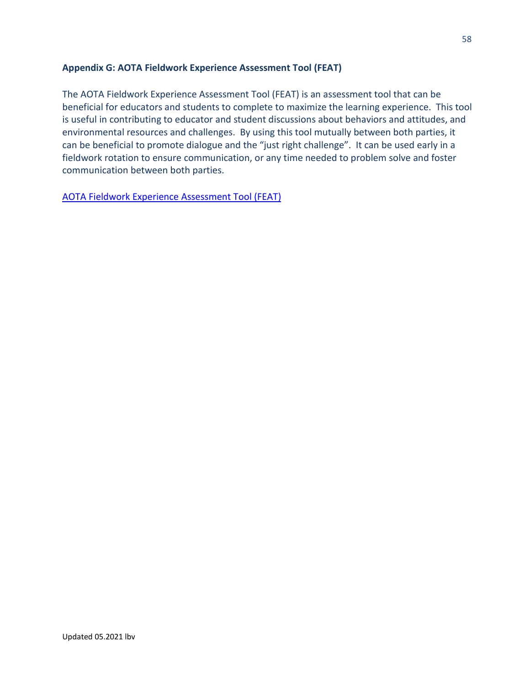# **Appendix G: AOTA Fieldwork Experience Assessment Tool (FEAT)**

The AOTA Fieldwork Experience Assessment Tool (FEAT) is an assessment tool that can be beneficial for educators and students to complete to maximize the learning experience. This tool is useful in contributing to educator and student discussions about behaviors and attitudes, and environmental resources and challenges. By using this tool mutually between both parties, it can be beneficial to promote dialogue and the "just right challenge". It can be used early in a fieldwork rotation to ensure communication, or any time needed to problem solve and foster communication between both parties.

[AOTA Fieldwork Experience Assessment Tool \(FEAT\)](https://www.aota.org/-/media/Corporate/Files/EducationCareers/Accredit/FEATCHARTMidterm.pdf)